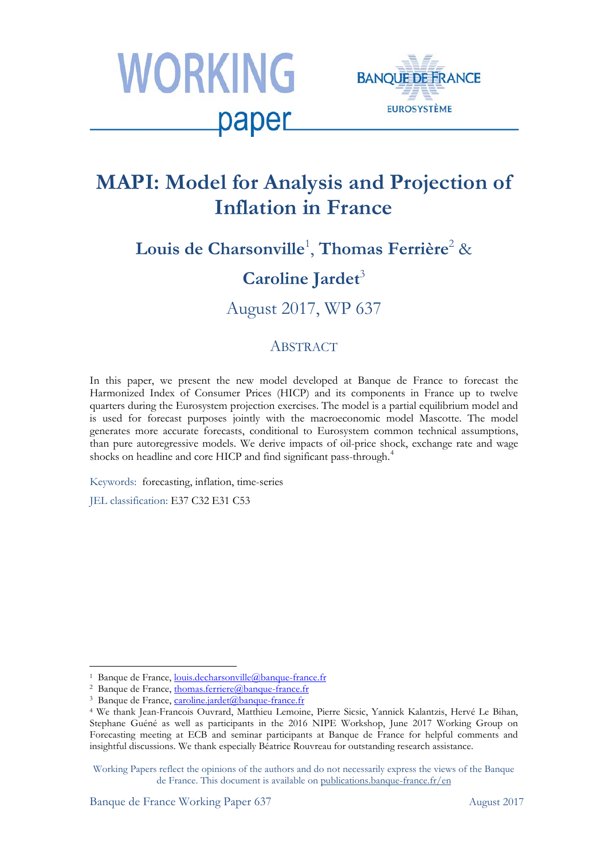



# **MAPI: Model for Analysis and Projection of Inflation in France**

# **Louis de Charsonvill[e](#page-0-0)**<sup>1</sup> , **Thomas Ferrière**<sup>2</sup> [&](#page-0-1)

## Caroline Jardet<sup>[3](#page-0-2)</sup>

August 2017, WP 637

## **ABSTRACT**

In this paper, we present the new model developed at Banque de France to forecast the Harmonized Index of Consumer Prices (HICP) and its components in France up to twelve quarters during the Eurosystem projection exercises. The model is a partial equilibrium model and is used for forecast purposes jointly with the macroeconomic model Mascotte. The model generates more accurate forecasts, conditional to Eurosystem common technical assumptions, than pure autoregressive models. We derive impacts of oil-price shock, exchange rate and wage shocks on headline and core HICP and find significant pass-through.<sup>[4](#page-0-3)</sup>

Keywords: forecasting, inflation, time-series

JEL classification: E37 C32 E31 C53

<span id="page-0-0"></span><sup>&</sup>lt;sup>1</sup> Banque de France, <u>louis.decharsonville@banque-france.fr</u>

<span id="page-0-1"></span><sup>&</sup>lt;sup>2</sup> Banque de France[, thomas.ferriere@banque-france.fr](mailto:thomas.ferriere@banque-france.fr)

<span id="page-0-2"></span><sup>&</sup>lt;sup>3</sup> Banque de France, *caroline.jardet@banque-france.fr* 

<span id="page-0-3"></span><sup>4</sup> We thank Jean-Francois Ouvrard, Matthieu Lemoine, Pierre Sicsic, Yannick Kalantzis, Hervé Le Bihan, Stephane Guéné as well as participants in the 2016 NIPE Workshop, June 2017 Working Group on Forecasting meeting at ECB and seminar participants at Banque de France for helpful comments and insightful discussions. We thank especially Béatrice Rouvreau for outstanding research assistance.

Working Papers reflect the opinions of the authors and do not necessarily express the views of the Banque de France. This document is available on [publications.banque-france.fr/en](https://publications.banque-france.fr/en)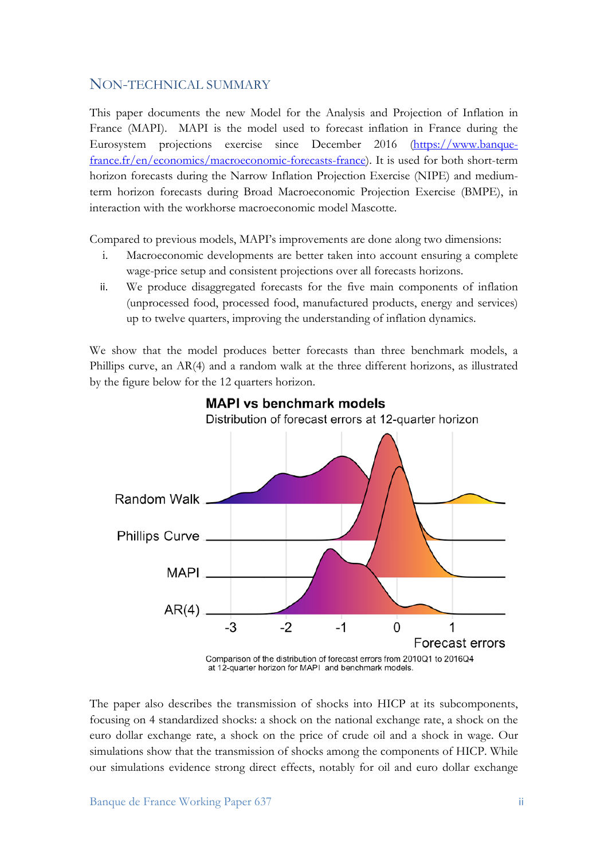### NON-TECHNICAL SUMMARY

This paper documents the new Model for the Analysis and Projection of Inflation in France (MAPI). MAPI is the model used to forecast inflation in France during the Eurosystem projections exercise since December 2016 [\(https://www.banque](https://www.banque-france.fr/en/economics/macroeconomic-forecasts-france)[france.fr/en/economics/macroeconomic-forecasts-france\)](https://www.banque-france.fr/en/economics/macroeconomic-forecasts-france). It is used for both short-term horizon forecasts during the Narrow Inflation Projection Exercise (NIPE) and mediumterm horizon forecasts during Broad Macroeconomic Projection Exercise (BMPE), in interaction with the workhorse macroeconomic model Mascotte.

Compared to previous models, MAPI's improvements are done along two dimensions:

- i. Macroeconomic developments are better taken into account ensuring a complete wage-price setup and consistent projections over all forecasts horizons.
- ii. We produce disaggregated forecasts for the five main components of inflation (unprocessed food, processed food, manufactured products, energy and services) up to twelve quarters, improving the understanding of inflation dynamics.

We show that the model produces better forecasts than three benchmark models, a Phillips curve, an AR(4) and a random walk at the three different horizons, as illustrated by the figure below for the 12 quarters horizon.





The paper also describes the transmission of shocks into HICP at its subcomponents, focusing on 4 standardized shocks: a shock on the national exchange rate, a shock on the euro dollar exchange rate, a shock on the price of crude oil and a shock in wage. Our simulations show that the transmission of shocks among the components of HICP. While our simulations evidence strong direct effects, notably for oil and euro dollar exchange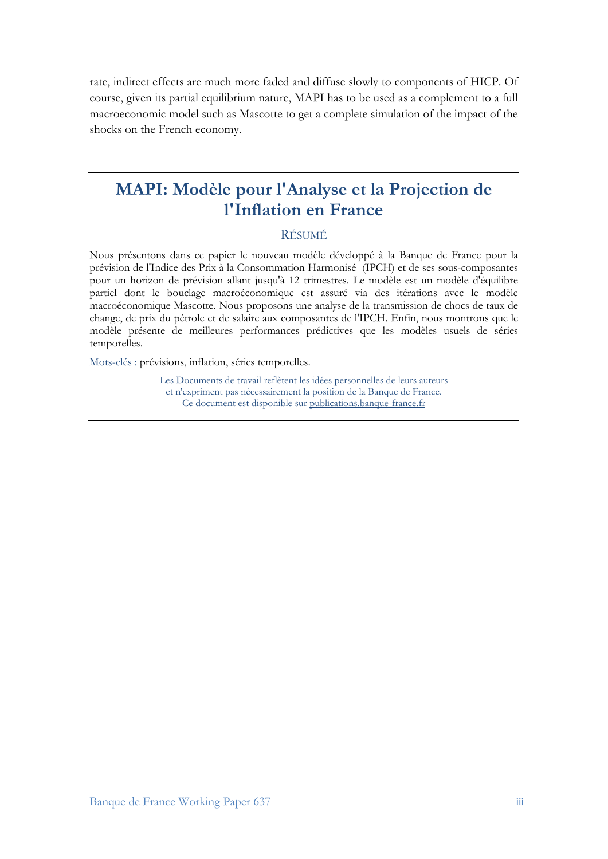rate, indirect effects are much more faded and diffuse slowly to components of HICP. Of course, given its partial equilibrium nature, MAPI has to be used as a complement to a full macroeconomic model such as Mascotte to get a complete simulation of the impact of the shocks on the French economy.

## **MAPI: Modèle pour l'Analyse et la Projection de l'Inflation en France**

### RÉSUMÉ

Nous présentons dans ce papier le nouveau modèle développé à la Banque de France pour la prévision de l'Indice des Prix à la Consommation Harmonisé (IPCH) et de ses sous-composantes pour un horizon de prévision allant jusqu'à 12 trimestres. Le modèle est un modèle d'équilibre partiel dont le bouclage macroéconomique est assuré via des itérations avec le modèle macroéconomique Mascotte. Nous proposons une analyse de la transmission de chocs de taux de change, de prix du pétrole et de salaire aux composantes de l'IPCH. Enfin, nous montrons que le modèle présente de meilleures performances prédictives que les modèles usuels de séries temporelles.

Mots-clés : prévisions, inflation, séries temporelles.

Les Documents de travail reflètent les idées personnelles de leurs auteurs et n'expriment pas nécessairement la position de la Banque de France. Ce document est disponible sur [publications.banque-france.fr](https://publications.banque-france.fr/)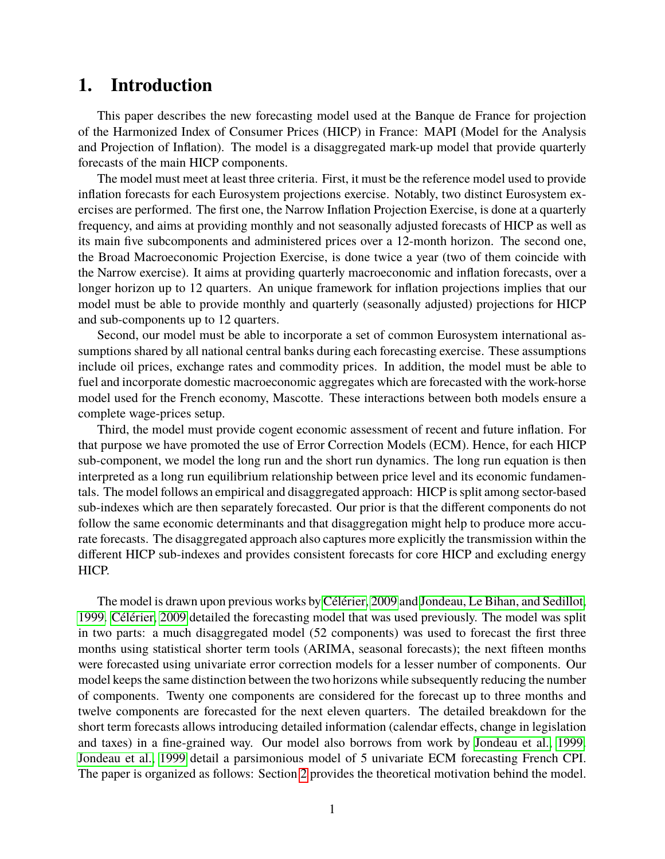## <span id="page-3-0"></span>**1. Introduction**

This paper describes the new forecasting model used at the Banque de France for projection of the Harmonized Index of Consumer Prices (HICP) in France: MAPI (Model for the Analysis and Projection of Inflation). The model is a disaggregated mark-up model that provide quarterly forecasts of the main HICP components.

The model must meet at least three criteria. First, it must be the reference model used to provide inflation forecasts for each Eurosystem projections exercise. Notably, two distinct Eurosystem exercises are performed. The first one, the Narrow Inflation Projection Exercise, is done at a quarterly frequency, and aims at providing monthly and not seasonally adjusted forecasts of HICP as well as its main five subcomponents and administered prices over a 12-month horizon. The second one, the Broad Macroeconomic Projection Exercise, is done twice a year (two of them coincide with the Narrow exercise). It aims at providing quarterly macroeconomic and inflation forecasts, over a longer horizon up to 12 quarters. An unique framework for inflation projections implies that our model must be able to provide monthly and quarterly (seasonally adjusted) projections for HICP and sub-components up to 12 quarters.

Second, our model must be able to incorporate a set of common Eurosystem international assumptions shared by all national central banks during each forecasting exercise. These assumptions include oil prices, exchange rates and commodity prices. In addition, the model must be able to fuel and incorporate domestic macroeconomic aggregates which are forecasted with the work-horse model used for the French economy, Mascotte. These interactions between both models ensure a complete wage-prices setup.

Third, the model must provide cogent economic assessment of recent and future inflation. For that purpose we have promoted the use of Error Correction Models (ECM). Hence, for each HICP sub-component, we model the long run and the short run dynamics. The long run equation is then interpreted as a long run equilibrium relationship between price level and its economic fundamentals. The model follows an empirical and disaggregated approach: HICP is split among sector-based sub-indexes which are then separately forecasted. Our prior is that the different components do not follow the same economic determinants and that disaggregation might help to produce more accurate forecasts. The disaggregated approach also captures more explicitly the transmission within the different HICP sub-indexes and provides consistent forecasts for core HICP and excluding energy HICP.

The model is drawn upon previous works by Célérier, 2009 and [Jondeau, Le Bihan, and Sedillot,](#page-27-1) [1999.](#page-27-1) Célérier, 2009 detailed the forecasting model that was used previously. The model was split in two parts: a much disaggregated model (52 components) was used to forecast the first three months using statistical shorter term tools (ARIMA, seasonal forecasts); the next fifteen months were forecasted using univariate error correction models for a lesser number of components. Our model keeps the same distinction between the two horizons while subsequently reducing the number of components. Twenty one components are considered for the forecast up to three months and twelve components are forecasted for the next eleven quarters. The detailed breakdown for the short term forecasts allows introducing detailed information (calendar effects, change in legislation and taxes) in a fine-grained way. Our model also borrows from work by [Jondeau et al., 1999.](#page-27-1) [Jondeau et al., 1999](#page-27-1) detail a parsimonious model of 5 univariate ECM forecasting French CPI. The paper is organized as follows: Section [2](#page-4-0) provides the theoretical motivation behind the model.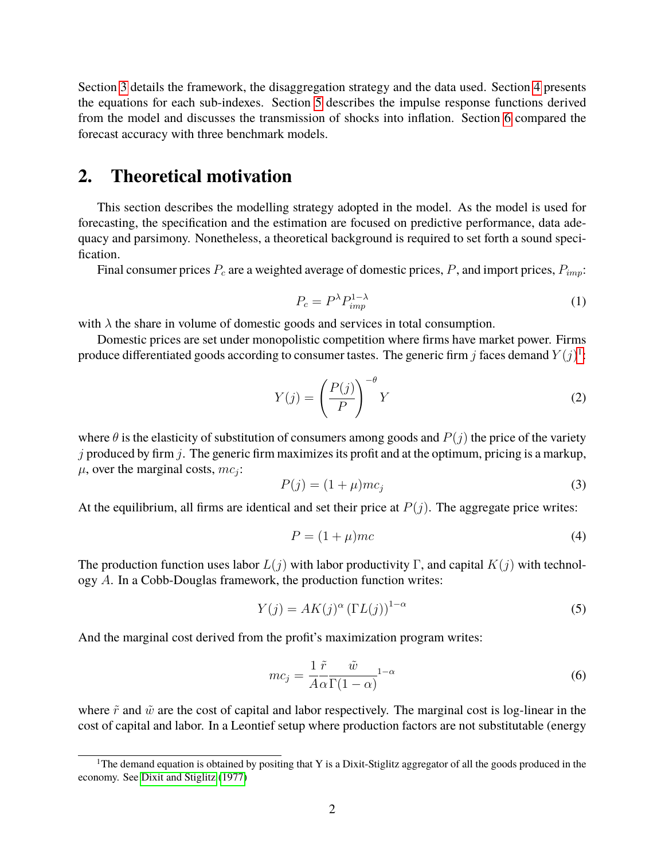Section [3](#page-5-0) details the framework, the disaggregation strategy and the data used. Section [4](#page-7-0) presents the equations for each sub-indexes. Section [5](#page-17-0) describes the impulse response functions derived from the model and discusses the transmission of shocks into inflation. Section [6](#page-25-0) compared the forecast accuracy with three benchmark models.

## <span id="page-4-0"></span>**2. Theoretical motivation**

This section describes the modelling strategy adopted in the model. As the model is used for forecasting, the specification and the estimation are focused on predictive performance, data adequacy and parsimony. Nonetheless, a theoretical background is required to set forth a sound specification.

Final consumer prices  $P_c$  are a weighted average of domestic prices, P, and import prices,  $P_{imp}$ :

<span id="page-4-1"></span>
$$
P_c = P^{\lambda} P_{imp}^{1-\lambda} \tag{1}
$$

with  $\lambda$  the share in volume of domestic goods and services in total consumption.

Domestic prices are set under monopolistic competition where firms have market power. Firms produce differentiated goods according to consumer tastes. The generic firm j faces demand  $Y(j)^{1}$  $Y(j)^{1}$  $Y(j)^{1}$ :

$$
Y(j) = \left(\frac{P(j)}{P}\right)^{-\theta} Y
$$
 (2)

where  $\theta$  is the elasticity of substitution of consumers among goods and  $P(j)$  the price of the variety  $j$  produced by firm  $j$ . The generic firm maximizes its profit and at the optimum, pricing is a markup,  $\mu$ , over the marginal costs,  $mc_j$ :

$$
P(j) = (1 + \mu)mc_j \tag{3}
$$

At the equilibrium, all firms are identical and set their price at  $P(j)$ . The aggregate price writes:

<span id="page-4-2"></span>
$$
P = (1 + \mu)mc \tag{4}
$$

The production function uses labor  $L(j)$  with labor productivity Γ, and capital  $K(j)$  with technology A. In a Cobb-Douglas framework, the production function writes:

$$
Y(j) = AK(j)^{\alpha} (\Gamma L(j))^{1-\alpha}
$$
\n(5)

And the marginal cost derived from the profit's maximization program writes:

<span id="page-4-3"></span>
$$
mc_j = \frac{1 \tilde{r}}{A\alpha} \frac{\tilde{w}}{\Gamma(1-\alpha)}^{1-\alpha} \tag{6}
$$

where  $\tilde{r}$  and  $\tilde{w}$  are the cost of capital and labor respectively. The marginal cost is log-linear in the cost of capital and labor. In a Leontief setup where production factors are not substitutable (energy

<sup>&</sup>lt;sup>1</sup>The demand equation is obtained by positing that Y is a Dixit-Stiglitz aggregator of all the goods produced in the economy. See [Dixit and Stiglitz](#page-27-2) [\(1977\)](#page-27-2)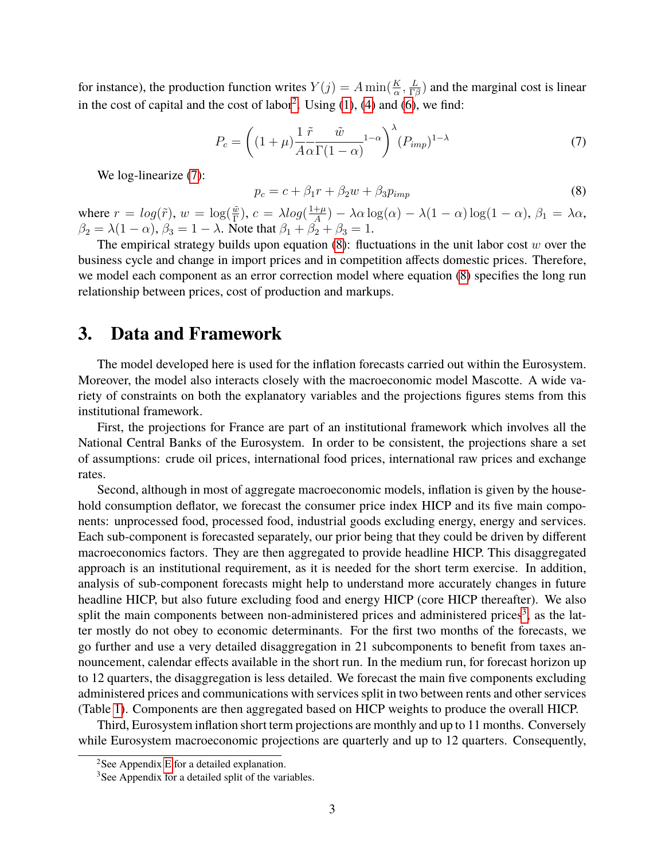for instance), the production function writes  $Y(j) = A \min(\frac{K}{\alpha}, \frac{L}{\Gamma \beta})$  $\frac{L}{\Gamma\beta}$ ) and the marginal cost is linear in the cost of capital and the cost of labor<sup>[2](#page-3-0)</sup>. Using  $(1)$ ,  $(4)$  and  $(6)$ , we find:

<span id="page-5-1"></span>
$$
P_c = \left( (1+\mu) \frac{1}{A} \frac{\tilde{r}}{\alpha} \frac{\tilde{w}}{\Gamma(1-\alpha)}^{1-\alpha} \right)^{\lambda} (P_{imp})^{1-\lambda} \tag{7}
$$

We log-linearize [\(7\)](#page-5-1):

<span id="page-5-2"></span>
$$
p_c = c + \beta_1 r + \beta_2 w + \beta_3 p_{imp} \tag{8}
$$

where  $r = log(\tilde{r}), w = log(\frac{\tilde{w}}{r}), c = \lambda log(\frac{1+\mu}{A})$  $\frac{+\mu}{A}$ ) –  $\lambda \alpha \log(\alpha) - \lambda(1-\alpha) \log(1-\alpha), \beta_1 = \lambda \alpha,$  $\beta_2 = \lambda(1-\alpha)$ ,  $\beta_3 = 1-\lambda$ . Note that  $\beta_1 + \beta_2 + \beta_3 = 1$ .

The empirical strategy builds upon equation  $(8)$ : fluctuations in the unit labor cost w over the business cycle and change in import prices and in competition affects domestic prices. Therefore, we model each component as an error correction model where equation [\(8\)](#page-5-2) specifies the long run relationship between prices, cost of production and markups.

### <span id="page-5-0"></span>**3. Data and Framework**

The model developed here is used for the inflation forecasts carried out within the Eurosystem. Moreover, the model also interacts closely with the macroeconomic model Mascotte. A wide variety of constraints on both the explanatory variables and the projections figures stems from this institutional framework.

First, the projections for France are part of an institutional framework which involves all the National Central Banks of the Eurosystem. In order to be consistent, the projections share a set of assumptions: crude oil prices, international food prices, international raw prices and exchange rates.

Second, although in most of aggregate macroeconomic models, inflation is given by the household consumption deflator, we forecast the consumer price index HICP and its five main components: unprocessed food, processed food, industrial goods excluding energy, energy and services. Each sub-component is forecasted separately, our prior being that they could be driven by different macroeconomics factors. They are then aggregated to provide headline HICP. This disaggregated approach is an institutional requirement, as it is needed for the short term exercise. In addition, analysis of sub-component forecasts might help to understand more accurately changes in future headline HICP, but also future excluding food and energy HICP (core HICP thereafter). We also split the main components between non-administered prices and administered prices<sup>[3](#page-3-0)</sup>, as the latter mostly do not obey to economic determinants. For the first two months of the forecasts, we go further and use a very detailed disaggregation in 21 subcomponents to benefit from taxes announcement, calendar effects available in the short run. In the medium run, for forecast horizon up to 12 quarters, the disaggregation is less detailed. We forecast the main five components excluding administered prices and communications with services split in two between rents and other services (Table [1\)](#page-6-0). Components are then aggregated based on HICP weights to produce the overall HICP.

Third, Eurosystem inflation short term projections are monthly and up to 11 months. Conversely while Eurosystem macroeconomic projections are quarterly and up to 12 quarters. Consequently,

<sup>&</sup>lt;sup>2</sup>See Appendix [E](#page-34-0) for a detailed explanation.

<sup>&</sup>lt;sup>3</sup>See Appendix for a detailed split of the variables.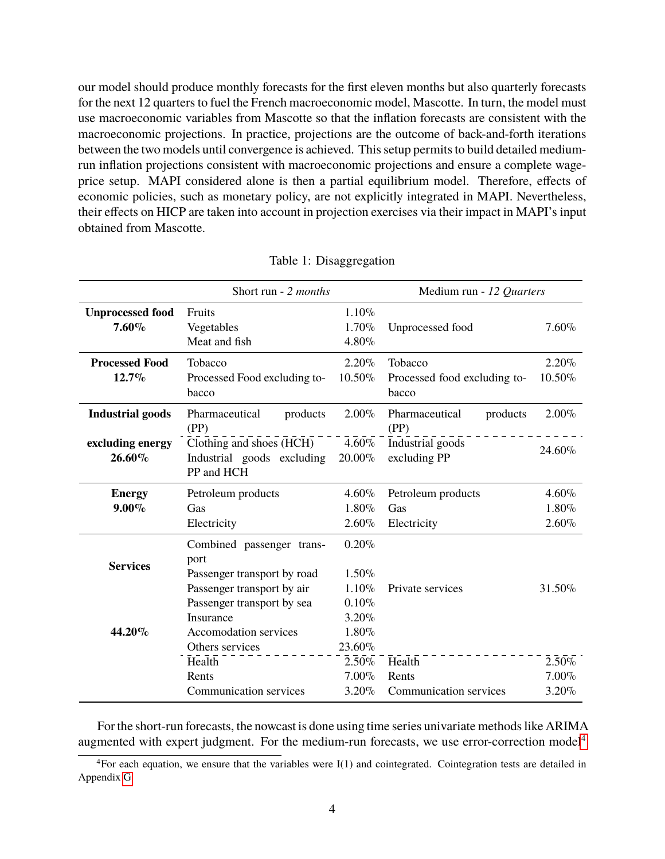our model should produce monthly forecasts for the first eleven months but also quarterly forecasts for the next 12 quarters to fuel the French macroeconomic model, Mascotte. In turn, the model must use macroeconomic variables from Mascotte so that the inflation forecasts are consistent with the macroeconomic projections. In practice, projections are the outcome of back-and-forth iterations between the two models until convergence is achieved. This setup permits to build detailed mediumrun inflation projections consistent with macroeconomic projections and ensure a complete wageprice setup. MAPI considered alone is then a partial equilibrium model. Therefore, effects of economic policies, such as monetary policy, are not explicitly integrated in MAPI. Nevertheless, their effects on HICP are taken into account in projection exercises via their impact in MAPI's input obtained from Mascotte.

|                                     | Short run $-2$ months                                                                                                                                                                        |                                                              | Medium run - 12 Quarters                                |                            |  |
|-------------------------------------|----------------------------------------------------------------------------------------------------------------------------------------------------------------------------------------------|--------------------------------------------------------------|---------------------------------------------------------|----------------------------|--|
| <b>Unprocessed food</b><br>$7.60\%$ | <b>Fruits</b><br>Vegetables<br>Meat and fish                                                                                                                                                 | 1.10%<br>1.70%<br>4.80%                                      | Unprocessed food                                        | 7.60%                      |  |
| <b>Processed Food</b><br>$12.7\%$   | Tobacco<br>Processed Food excluding to-<br>bacco                                                                                                                                             | 2.20%<br>10.50%                                              | <b>Tobacco</b><br>Processed food excluding to-<br>bacco | 2.20%<br>10.50%            |  |
| <b>Industrial goods</b>             | Pharmaceutical<br>products<br>(PP)                                                                                                                                                           | $2.00\%$                                                     | Pharmaceutical<br>products<br>(PP)                      | $2.00\%$                   |  |
| excluding energy<br>26.60%          | Clothing and shoes $(\overline{HCH})$<br>Industrial goods excluding<br>PP and HCH                                                                                                            | $4.60\%$<br>20.00%                                           | Industrial goods<br>excluding PP                        | 24.60%                     |  |
| <b>Energy</b><br>$9.00\%$           | Petroleum products<br>Gas<br>Electricity                                                                                                                                                     | $4.60\%$<br>1.80%<br>2.60%                                   | Petroleum products<br>Gas<br>Electricity                | 4.60%<br>1.80%<br>2.60%    |  |
| <b>Services</b><br>44.20%           | Combined passenger trans-<br>port<br>Passenger transport by road<br>Passenger transport by air<br>Passenger transport by sea<br>Insurance<br><b>Accomodation services</b><br>Others services | 0.20%<br>1.50%<br>1.10%<br>0.10%<br>3.20%<br>1.80%<br>23.60% | Private services                                        | 31.50%                     |  |
|                                     | Health<br>Rents<br><b>Communication services</b>                                                                                                                                             | 2.50%<br>7.00%<br>3.20%                                      | Health<br>Rents<br><b>Communication services</b>        | $2.50\%$<br>7.00%<br>3.20% |  |

<span id="page-6-0"></span>

|  | Table 1: Disaggregation |
|--|-------------------------|
|--|-------------------------|

For the short-run forecasts, the nowcast is done using time series univariate methods like ARIMA augmented with expert judgment. For the medium-run forecasts, we use error-correction model<sup>[4](#page-3-0)</sup>

<sup>&</sup>lt;sup>4</sup>For each equation, we ensure that the variables were  $I(1)$  and cointegrated. Cointegration tests are detailed in Appendix [G](#page-36-0)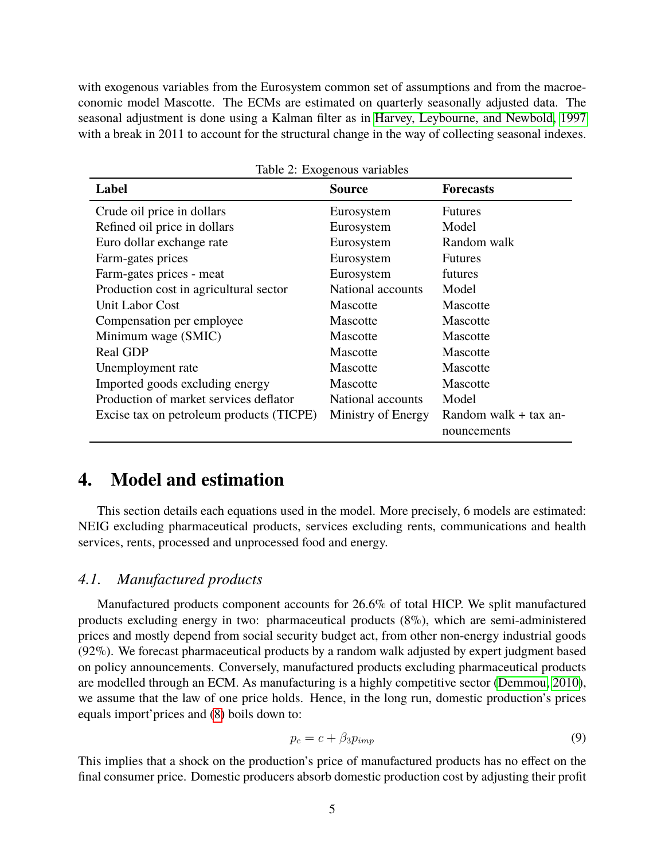with exogenous variables from the Eurosystem common set of assumptions and from the macroeconomic model Mascotte. The ECMs are estimated on quarterly seasonally adjusted data. The seasonal adjustment is done using a Kalman filter as in [Harvey, Leybourne, and Newbold, 1997](#page-27-3) with a break in 2011 to account for the structural change in the way of collecting seasonal indexes.

| Table 2: Exogenous variables             |                    |                       |  |  |  |  |  |  |
|------------------------------------------|--------------------|-----------------------|--|--|--|--|--|--|
| Label                                    | <b>Source</b>      | <b>Forecasts</b>      |  |  |  |  |  |  |
| Crude oil price in dollars               | Eurosystem         | <b>Futures</b>        |  |  |  |  |  |  |
| Refined oil price in dollars             | Eurosystem         | Model                 |  |  |  |  |  |  |
| Euro dollar exchange rate                | Eurosystem         | Random walk           |  |  |  |  |  |  |
| Farm-gates prices                        | Eurosystem         | <b>Futures</b>        |  |  |  |  |  |  |
| Farm-gates prices - meat                 | Eurosystem         | futures               |  |  |  |  |  |  |
| Production cost in agricultural sector   | National accounts  | Model                 |  |  |  |  |  |  |
| Unit Labor Cost                          | Mascotte           | Mascotte              |  |  |  |  |  |  |
| Compensation per employee                | Mascotte           | Mascotte              |  |  |  |  |  |  |
| Minimum wage (SMIC)                      | Mascotte           | Mascotte              |  |  |  |  |  |  |
| Real GDP                                 | Mascotte           | Mascotte              |  |  |  |  |  |  |
| Unemployment rate                        | Mascotte           | Mascotte              |  |  |  |  |  |  |
| Imported goods excluding energy          | Mascotte           | Mascotte              |  |  |  |  |  |  |
| Production of market services deflator   | National accounts  | Model                 |  |  |  |  |  |  |
| Excise tax on petroleum products (TICPE) | Ministry of Energy | Random walk + tax an- |  |  |  |  |  |  |
|                                          |                    | nouncements           |  |  |  |  |  |  |

Table 2: Exogenous variables

## <span id="page-7-0"></span>**4. Model and estimation**

This section details each equations used in the model. More precisely, 6 models are estimated: NEIG excluding pharmaceutical products, services excluding rents, communications and health services, rents, processed and unprocessed food and energy.

#### *4.1. Manufactured products*

Manufactured products component accounts for 26.6% of total HICP. We split manufactured products excluding energy in two: pharmaceutical products (8%), which are semi-administered prices and mostly depend from social security budget act, from other non-energy industrial goods (92%). We forecast pharmaceutical products by a random walk adjusted by expert judgment based on policy announcements. Conversely, manufactured products excluding pharmaceutical products are modelled through an ECM. As manufacturing is a highly competitive sector [\(Demmou, 2010\)](#page-27-4), we assume that the law of one price holds. Hence, in the long run, domestic production's prices equals import'prices and [\(8\)](#page-5-2) boils down to:

<span id="page-7-1"></span>
$$
p_c = c + \beta_3 p_{imp} \tag{9}
$$

This implies that a shock on the production's price of manufactured products has no effect on the final consumer price. Domestic producers absorb domestic production cost by adjusting their profit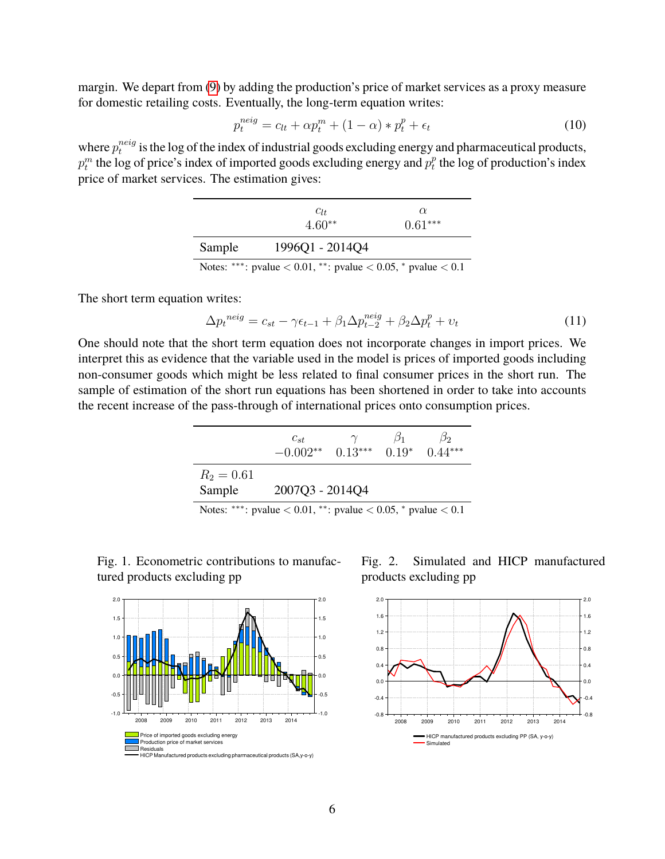margin. We depart from [\(9\)](#page-7-1) by adding the production's price of market services as a proxy measure for domestic retailing costs. Eventually, the long-term equation writes:

$$
p_t^{neig} = c_{lt} + \alpha p_t^m + (1 - \alpha) * p_t^p + \epsilon_t \tag{10}
$$

where  $p_t^{neig}$  $t_t^{neg}$  is the log of the index of industrial goods excluding energy and pharmaceutical products,  $p_t^m$  the log of price's index of imported goods excluding energy and  $p_t^p$  $t_t^p$  the log of production's index price of market services. The estimation gives:

|                                                                      | $C_{lt}$<br>$4.60**$ | $\alpha$<br>$0.61***$ |  |  |  |
|----------------------------------------------------------------------|----------------------|-----------------------|--|--|--|
| Sample                                                               | 1996Q1 - 2014Q4      |                       |  |  |  |
| Notes: ***: pvalue $< 0.01$ , **: pvalue $< 0.05$ , * pvalue $< 0.1$ |                      |                       |  |  |  |

The short term equation writes:

<span id="page-8-0"></span>
$$
\Delta p_t^{neig} = c_{st} - \gamma \epsilon_{t-1} + \beta_1 \Delta p_{t-2}^{neig} + \beta_2 \Delta p_t^p + v_t \tag{11}
$$

One should note that the short term equation does not incorporate changes in import prices. We interpret this as evidence that the variable used in the model is prices of imported goods including non-consumer goods which might be less related to final consumer prices in the short run. The sample of estimation of the short run equations has been shortened in order to take into accounts the recent increase of the pass-through of international prices onto consumption prices.

|                                | $c_{st}$<br>$-0.002**$                    | $0.13***$ | $\mathcal{D}_1$<br>$0.19*$  | $\beta_2$<br>$0.44***$  |
|--------------------------------|-------------------------------------------|-----------|-----------------------------|-------------------------|
| $R_2 = 0.61$                   |                                           |           |                             |                         |
| Sample                         | 2007Q3 - 2014Q4                           |           |                             |                         |
| also the other<br>$\mathbf{v}$ | $\sim$ $\sim$ $\sim$ $\sim$ $\sim$ $\sim$ |           | $\sim$ $\sim$ $\sim$ $\sim$ | $\sim$<br>$\sim$ $\sim$ |

Notes: \*\*\*: pvalue  $< 0.01$ , \*\*: pvalue  $< 0.05$ , \* pvalue  $< 0.1$ 

Fig. 1. Econometric contributions to manufactured products excluding pp



Fig. 2. Simulated and HICP manufactured products excluding pp

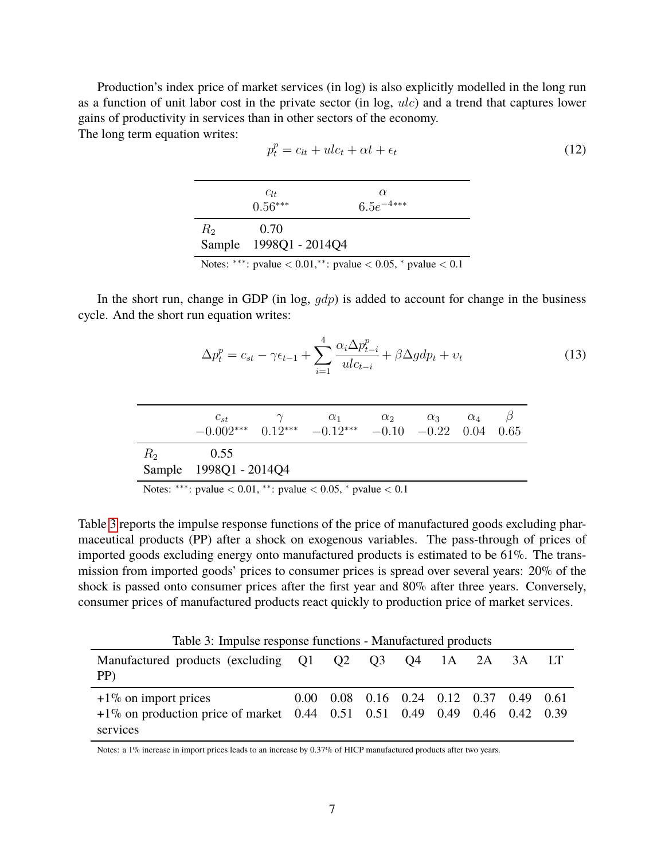Production's index price of market services (in log) is also explicitly modelled in the long run as a function of unit labor cost in the private sector (in log, ulc) and a trend that captures lower gains of productivity in services than in other sectors of the economy.

The long term equation writes:

$$
p_t^p = c_{lt} + ulc_t + \alpha t + \epsilon_t \tag{12}
$$

|                                                                     | $C_{lt}$               | $\alpha$       |  |  |  |
|---------------------------------------------------------------------|------------------------|----------------|--|--|--|
|                                                                     | $0.56***$              | $6.5e^{-4***}$ |  |  |  |
| $R_2$                                                               | 0.70                   |                |  |  |  |
|                                                                     | Sample 1998Q1 - 2014Q4 |                |  |  |  |
| Notes: ***: pvalue $< 0.01$ ,**: pvalue $< 0.05$ , * pvalue $< 0.1$ |                        |                |  |  |  |

In the short run, change in GDP (in log,  $qdp$ ) is added to account for change in the business cycle. And the short run equation writes:

$$
\Delta p_t^p = c_{st} - \gamma \epsilon_{t-1} + \sum_{i=1}^4 \frac{\alpha_i \Delta p_{t-i}^p}{ulc_{t-i}} + \beta \Delta g dp_t + v_t
$$
\n(13)

| 0.55<br>R2<br>Sample 1998Q1 - 2014Q4 | $c_{st}$<br>$-0.002***$ $0.12***$ $-0.12***$ $-0.10$ $-0.22$ $0.04$ | $\alpha_1$ | $\alpha_2$ | $\alpha_3$ | $\alpha_4$ | - 0.65 |
|--------------------------------------|---------------------------------------------------------------------|------------|------------|------------|------------|--------|
|                                      |                                                                     |            |            |            |            |        |

Notes: \*\*\*: pvalue  $< 0.01$ , \*\*: pvalue  $< 0.05$ , \* pvalue  $< 0.1$ 

Table [3](#page-9-0) reports the impulse response functions of the price of manufactured goods excluding pharmaceutical products (PP) after a shock on exogenous variables. The pass-through of prices of imported goods excluding energy onto manufactured products is estimated to be 61%. The transmission from imported goods' prices to consumer prices is spread over several years: 20% of the shock is passed onto consumer prices after the first year and 80% after three years. Conversely, consumer prices of manufactured products react quickly to production price of market services.

<span id="page-9-0"></span>Table 3: Impulse response functions - Manufactured products

| Manufactured products (excluding Q1 Q2 Q3 Q4 1A 2A<br>PP)                                               |  |  |  | 3A LT                                   |  |
|---------------------------------------------------------------------------------------------------------|--|--|--|-----------------------------------------|--|
| $+1\%$ on import prices<br>$+1\%$ on production price of market 0.44 0.51 0.51 0.49 0.49 0.46 0.42 0.39 |  |  |  | 0.00 0.08 0.16 0.24 0.12 0.37 0.49 0.61 |  |
| services                                                                                                |  |  |  |                                         |  |

Notes: a 1% increase in import prices leads to an increase by 0.37% of HICP manufactured products after two years.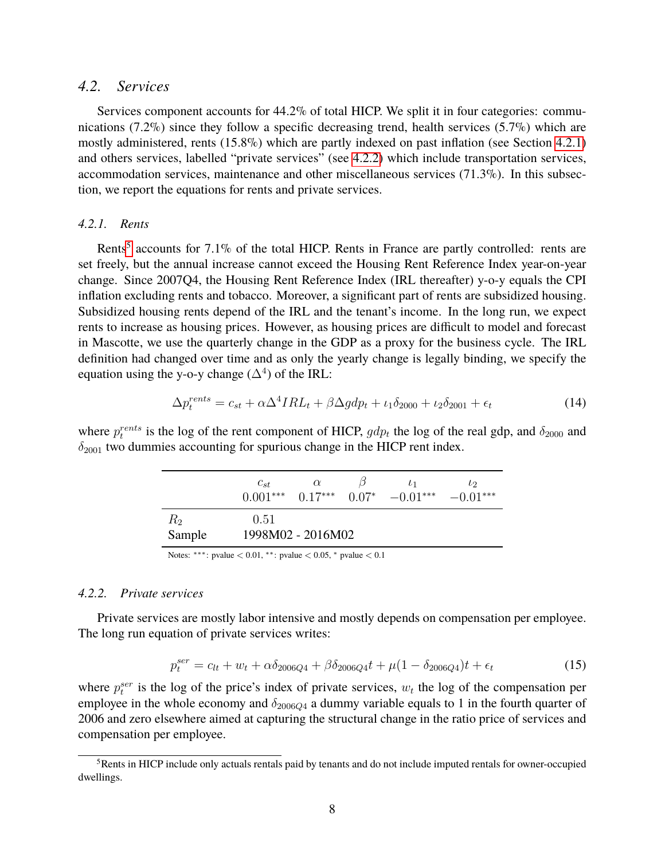### *4.2. Services*

Services component accounts for 44.2% of total HICP. We split it in four categories: communications (7.2%) since they follow a specific decreasing trend, health services (5.7%) which are mostly administered, rents (15.8%) which are partly indexed on past inflation (see Section [4.2.1\)](#page-10-0) and others services, labelled "private services" (see [4.2.2\)](#page-10-1) which include transportation services, accommodation services, maintenance and other miscellaneous services (71.3%). In this subsection, we report the equations for rents and private services.

#### <span id="page-10-0"></span>*4.2.1. Rents*

Rents<sup>[5](#page-3-0)</sup> accounts for 7.1% of the total HICP. Rents in France are partly controlled: rents are set freely, but the annual increase cannot exceed the Housing Rent Reference Index year-on-year change. Since 2007Q4, the Housing Rent Reference Index (IRL thereafter) y-o-y equals the CPI inflation excluding rents and tobacco. Moreover, a significant part of rents are subsidized housing. Subsidized housing rents depend of the IRL and the tenant's income. In the long run, we expect rents to increase as housing prices. However, as housing prices are difficult to model and forecast in Mascotte, we use the quarterly change in the GDP as a proxy for the business cycle. The IRL definition had changed over time and as only the yearly change is legally binding, we specify the equation using the y-o-y change  $(\Delta^4)$  of the IRL:

$$
\Delta p_t^{rents} = c_{st} + \alpha \Delta^4 IRL_t + \beta \Delta gdp_t + \iota_1 \delta_{2000} + \iota_2 \delta_{2001} + \epsilon_t
$$
\n(14)

where  $p_t^{rents}$  is the log of the rent component of HICP,  $gdp_t$  the log of the real gdp, and  $\delta_{2000}$  and  $\delta_{2001}$  two dummies accounting for spurious change in the HICP rent index.

|                 | $c_{st}$<br>$0.001***$ $0.17***$ | $\alpha$ | $\iota_1$<br>$0.07^*$ $-0.01^{***}$ $-0.01^{***}$ | t <sub>2</sub> |
|-----------------|----------------------------------|----------|---------------------------------------------------|----------------|
| $R_2$<br>Sample | 0.51<br>1998M02 - 2016M02        |          |                                                   |                |

Notes: ∗∗∗: pvalue < 0.01, ∗∗: pvalue < 0.05, <sup>∗</sup> pvalue < 0.1

#### <span id="page-10-1"></span>*4.2.2. Private services*

Private services are mostly labor intensive and mostly depends on compensation per employee. The long run equation of private services writes:

$$
p_t^{ser} = c_{lt} + w_t + \alpha \delta_{2006Q4} + \beta \delta_{2006Q4}t + \mu (1 - \delta_{2006Q4})t + \epsilon_t
$$
\n(15)

where  $p_t^{ser}$  is the log of the price's index of private services,  $w_t$  the log of the compensation per employee in the whole economy and  $\delta_{2006O4}$  a dummy variable equals to 1 in the fourth quarter of 2006 and zero elsewhere aimed at capturing the structural change in the ratio price of services and compensation per employee.

<sup>&</sup>lt;sup>5</sup>Rents in HICP include only actuals rentals paid by tenants and do not include imputed rentals for owner-occupied dwellings.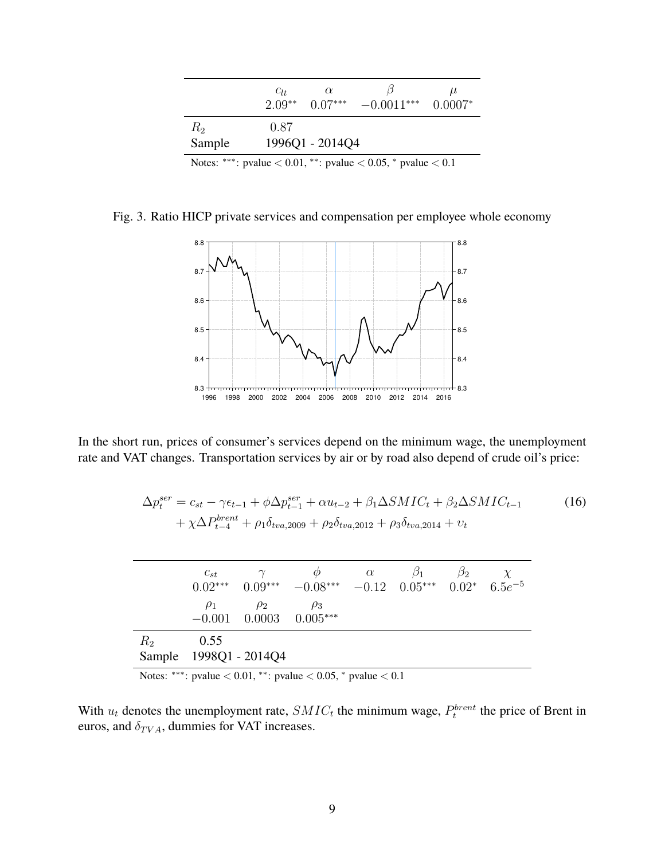|                                                                      | $C_{lt}$ | $\alpha$<br>$2.09^{**}$ 0.07*** | $-0.0011***$ | $\mu$<br>$0.0007*$ |  |  |
|----------------------------------------------------------------------|----------|---------------------------------|--------------|--------------------|--|--|
| $R_2$                                                                | 0.87     |                                 |              |                    |  |  |
| Sample                                                               |          | 1996Q1 - 2014Q4                 |              |                    |  |  |
| Notes: ***: pvalue $< 0.01$ , **: pvalue $< 0.05$ , * pvalue $< 0.1$ |          |                                 |              |                    |  |  |

Fig. 3. Ratio HICP private services and compensation per employee whole economy



In the short run, prices of consumer's services depend on the minimum wage, the unemployment rate and VAT changes. Transportation services by air or by road also depend of crude oil's price:

$$
\Delta p_t^{ser} = c_{st} - \gamma \epsilon_{t-1} + \phi \Delta p_{t-1}^{ser} + \alpha u_{t-2} + \beta_1 \Delta SMIC_t + \beta_2 \Delta SMIC_{t-1} + \chi \Delta P_{t-4}^{brent} + \rho_1 \delta_{tva,2009} + \rho_2 \delta_{tva,2012} + \rho_3 \delta_{tva,2014} + v_t
$$
\n(16)

|       | $c_{st}$                       |                                      | $\varphi$<br>$0.02***$ $0.09***$ $-0.08***$ $-0.12$ $0.05***$ $0.02*$ $6.5e^{-5}$ | $\alpha$ | $\beta_2$ |  |
|-------|--------------------------------|--------------------------------------|-----------------------------------------------------------------------------------|----------|-----------|--|
|       | $\rho_1$                       | $\rho_2$<br>$-0.001$ 0.0003 0.005*** | $\rho_3$                                                                          |          |           |  |
| $R_2$ | 0.55<br>Sample 1998Q1 - 2014Q4 |                                      |                                                                                   |          |           |  |

Notes: \*\*\*: pvalue  $< 0.01$ , \*\*: pvalue  $< 0.05$ , \* pvalue  $< 0.1$ 

With  $u_t$  denotes the unemployment rate,  $SMIC_t$  the minimum wage,  $P_t^{brent}$  the price of Brent in euros, and  $\delta_{TVA}$ , dummies for VAT increases.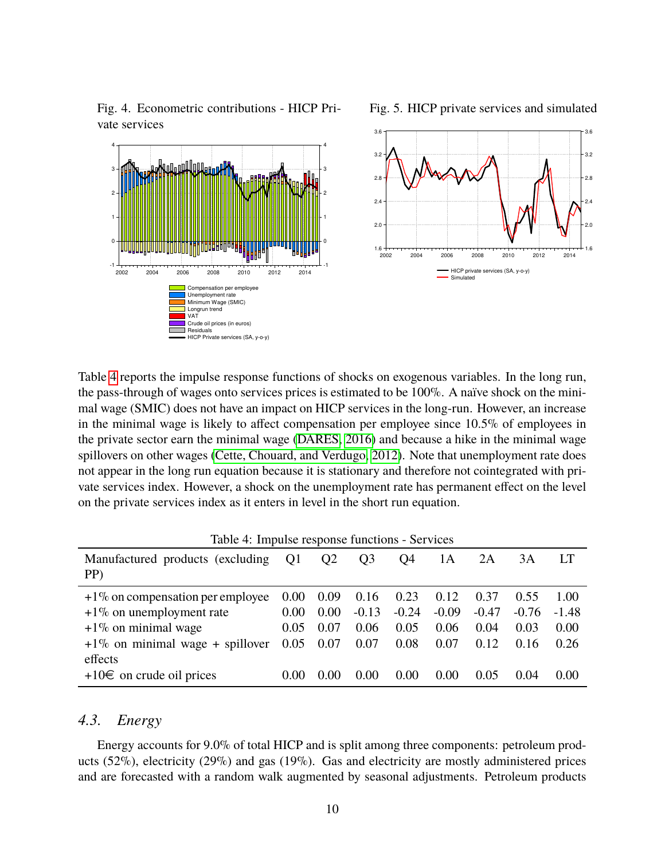

Fig. 4. Econometric contributions - HICP Private services

Fig. 5. HICP private services and simulated

Table [4](#page-12-0) reports the impulse response functions of shocks on exogenous variables. In the long run, the pass-through of wages onto services prices is estimated to be  $100\%$ . A naïve shock on the minimal wage (SMIC) does not have an impact on HICP services in the long-run. However, an increase in the minimal wage is likely to affect compensation per employee since 10.5% of employees in the private sector earn the minimal wage [\(DARES, 2016\)](#page-27-5) and because a hike in the minimal wage spillovers on other wages [\(Cette, Chouard, and Verdugo, 2012\)](#page-27-6). Note that unemployment rate does not appear in the long run equation because it is stationary and therefore not cointegrated with private services index. However, a shock on the unemployment rate has permanent effect on the level on the private services index as it enters in level in the short run equation.

<span id="page-12-0"></span>

| Table 4: Impulse response functions - Services |                |                |                |         |         |         |         |           |  |
|------------------------------------------------|----------------|----------------|----------------|---------|---------|---------|---------|-----------|--|
| Manufactured products (excluding)<br>PP)       | Q <sub>1</sub> | Q <sub>2</sub> | Q <sub>3</sub> | O4      | 1A      | 2A      | 3A      | <b>LT</b> |  |
| $+1\%$ on compensation per employee            | $0.00\,$       | 0.09           | 0.16           | 0.23    | 0.12    | 0.37    | 0.55    | 1.00      |  |
| $+1\%$ on unemployment rate                    | $0.00^{\circ}$ | 0.00           | $-0.13$        | $-0.24$ | $-0.09$ | $-0.47$ | $-0.76$ | $-1.48$   |  |
| $+1\%$ on minimal wage                         | 0.05           | 0.07           | 0.06           | 0.05    | 0.06    | 0.04    | 0.03    | 0.00      |  |
| $+1\%$ on minimal wage + spillover             | 0.05           | 0.07           | 0.07           | 0.08    | 0.07    | 0.12    | 0.16    | 0.26      |  |
| effects                                        |                |                |                |         |         |         |         |           |  |
| $+10 \in \Omega$ on crude oil prices           | (1)(1)         | (1.00)         | 0.00           | 0.00    | 0.00    | 0.05    | (1.04)  | 0.00      |  |

### *4.3. Energy*

Energy accounts for 9.0% of total HICP and is split among three components: petroleum products (52%), electricity (29%) and gas (19%). Gas and electricity are mostly administered prices and are forecasted with a random walk augmented by seasonal adjustments. Petroleum products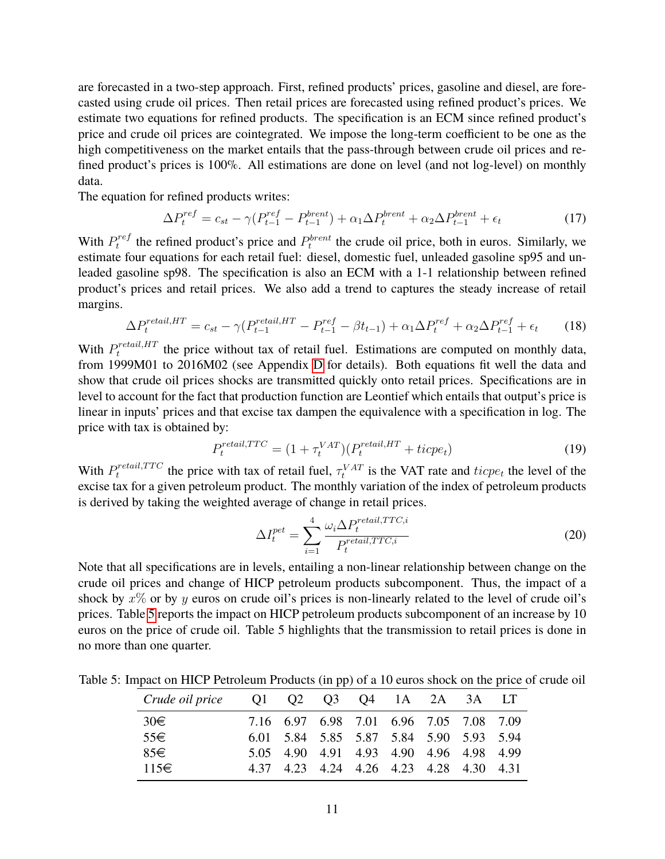are forecasted in a two-step approach. First, refined products' prices, gasoline and diesel, are forecasted using crude oil prices. Then retail prices are forecasted using refined product's prices. We estimate two equations for refined products. The specification is an ECM since refined product's price and crude oil prices are cointegrated. We impose the long-term coefficient to be one as the high competitiveness on the market entails that the pass-through between crude oil prices and refined product's prices is 100%. All estimations are done on level (and not log-level) on monthly data.

The equation for refined products writes:

<span id="page-13-1"></span>
$$
\Delta P_t^{ref} = c_{st} - \gamma (P_{t-1}^{ref} - P_{t-1}^{brent}) + \alpha_1 \Delta P_t^{brent} + \alpha_2 \Delta P_{t-1}^{brent} + \epsilon_t \tag{17}
$$

With  $P_t^{ref}$  $t^{ref}$  the refined product's price and  $P_t^{brent}$  the crude oil price, both in euros. Similarly, we estimate four equations for each retail fuel: diesel, domestic fuel, unleaded gasoline sp95 and unleaded gasoline sp98. The specification is also an ECM with a 1-1 relationship between refined product's prices and retail prices. We also add a trend to captures the steady increase of retail margins.

<span id="page-13-2"></span>
$$
\Delta P_t^{retail,HT} = c_{st} - \gamma (P_{t-1}^{retail,HT} - P_{t-1}^{ref} - \beta t_{t-1}) + \alpha_1 \Delta P_t^{ref} + \alpha_2 \Delta P_{t-1}^{ref} + \epsilon_t \tag{18}
$$

With  $P_t^{retail,HT}$  $t^{retaut,HT}$  the price without tax of retail fuel. Estimations are computed on monthly data, from 1999M01 to 2016M02 (see Appendix [D](#page-33-0) for details). Both equations fit well the data and show that crude oil prices shocks are transmitted quickly onto retail prices. Specifications are in level to account for the fact that production function are Leontief which entails that output's price is linear in inputs' prices and that excise tax dampen the equivalence with a specification in log. The price with tax is obtained by:

$$
P_t^{retail,TTC} = (1 + \tau_t^{VAT})(P_t^{retail,HT} + ticee_t)
$$
\n(19)

With  $P_t^{retail,TTC}$  $t_t^{retail,TTC}$  the price with tax of retail fuel,  $\tau_t^{VAT}$  is the VAT rate and  $ticpe_t$  the level of the excise tax for a given petroleum product. The monthly variation of the index of petroleum products is derived by taking the weighted average of change in retail prices.

$$
\Delta I_t^{pet} = \sum_{i=1}^4 \frac{\omega_i \Delta P_t^{retail,TTC,i}}{P_t^{retail,TTC,i}} \tag{20}
$$

Note that all specifications are in levels, entailing a non-linear relationship between change on the crude oil prices and change of HICP petroleum products subcomponent. Thus, the impact of a shock by  $x\%$  or by y euros on crude oil's prices is non-linearly related to the level of crude oil's prices. Table [5](#page-13-0) reports the impact on HICP petroleum products subcomponent of an increase by 10 euros on the price of crude oil. Table 5 highlights that the transmission to retail prices is done in no more than one quarter.

Table 5: Impact on HICP Petroleum Products (in pp) of a 10 euros shock on the price of crude oil

<span id="page-13-0"></span>

| Crude oil price |     | 01 02 03 |  | Q4 1A 2A 3A LT                          |  |  |
|-----------------|-----|----------|--|-----------------------------------------|--|--|
| 30€             |     |          |  | 7.16 6.97 6.98 7.01 6.96 7.05 7.08 7.09 |  |  |
| $55 \in$        |     |          |  | 6.01 5.84 5.85 5.87 5.84 5.90 5.93 5.94 |  |  |
| 85€             |     |          |  | 5.05 4.90 4.91 4.93 4.90 4.96 4.98 4.99 |  |  |
| $115 \in$       | 437 |          |  | 4.23 4.24 4.26 4.23 4.28 4.30 4.31      |  |  |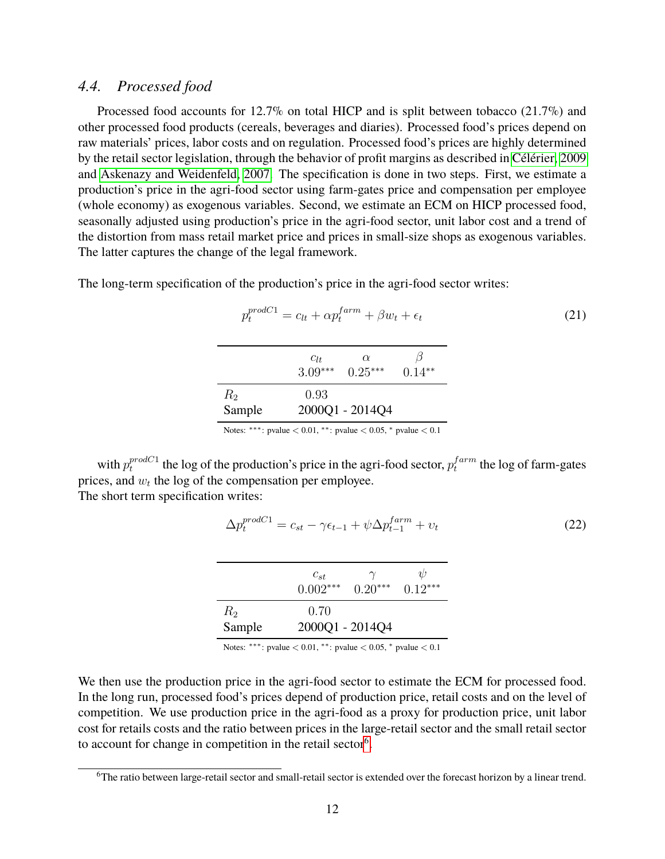### *4.4. Processed food*

Processed food accounts for 12.7% on total HICP and is split between tobacco (21.7%) and other processed food products (cereals, beverages and diaries). Processed food's prices depend on raw materials' prices, labor costs and on regulation. Processed food's prices are highly determined by the retail sector legislation, through the behavior of profit margins as described in Célérier, 2009 and [Askenazy and Weidenfeld, 2007.](#page-27-7) The specification is done in two steps. First, we estimate a production's price in the agri-food sector using farm-gates price and compensation per employee (whole economy) as exogenous variables. Second, we estimate an ECM on HICP processed food, seasonally adjusted using production's price in the agri-food sector, unit labor cost and a trend of the distortion from mass retail market price and prices in small-size shops as exogenous variables. The latter captures the change of the legal framework.

The long-term specification of the production's price in the agri-food sector writes:

|        | $p_t^{prodC1} = c_{lt} + \alpha p_t^{farm} + \beta w_t + \epsilon_t$ |                              |  |  |
|--------|----------------------------------------------------------------------|------------------------------|--|--|
|        | $c_{lt}$ a                                                           | $3.09***$ $0.25***$ $0.14**$ |  |  |
| $R_2$  | 0.93                                                                 |                              |  |  |
| Sample | Notes: ***: pvalue $< 0.01$ , **: pvalue $< 0.05$ , * pvalue $< 0.1$ | 2000Q1 - 2014Q4              |  |  |

with  $p_t^{prodC1}$  $t^{prodC1}$  the log of the production's price in the agri-food sector,  $p_t^{farm}$  $t^{arm}$  the log of farm-gates prices, and  $w_t$  the log of the compensation per employee.

The short term specification writes:

<span id="page-14-0"></span>
$$
\Delta p_t^{prodC1} = c_{st} - \gamma \epsilon_{t-1} + \psi \Delta p_{t-1}^{farm} + v_t \tag{22}
$$

|                   | $c_{st}$                | $\gamma$  | V         |
|-------------------|-------------------------|-----------|-----------|
|                   | $0.002***$              | $0.20***$ | $0.12***$ |
| $R_{2}$<br>Sample | 0.70<br>2000Q1 - 2014Q4 |           |           |

Notes: \*\*\*: pvalue  $< 0.01$ , \*\*: pvalue  $< 0.05$ , \* pvalue  $< 0.1$ 

We then use the production price in the agri-food sector to estimate the ECM for processed food. In the long run, processed food's prices depend of production price, retail costs and on the level of competition. We use production price in the agri-food as a proxy for production price, unit labor cost for retails costs and the ratio between prices in the large-retail sector and the small retail sector to account for change in competition in the retail sector<sup>[6](#page-3-0)</sup>.

<sup>6</sup>The ratio between large-retail sector and small-retail sector is extended over the forecast horizon by a linear trend.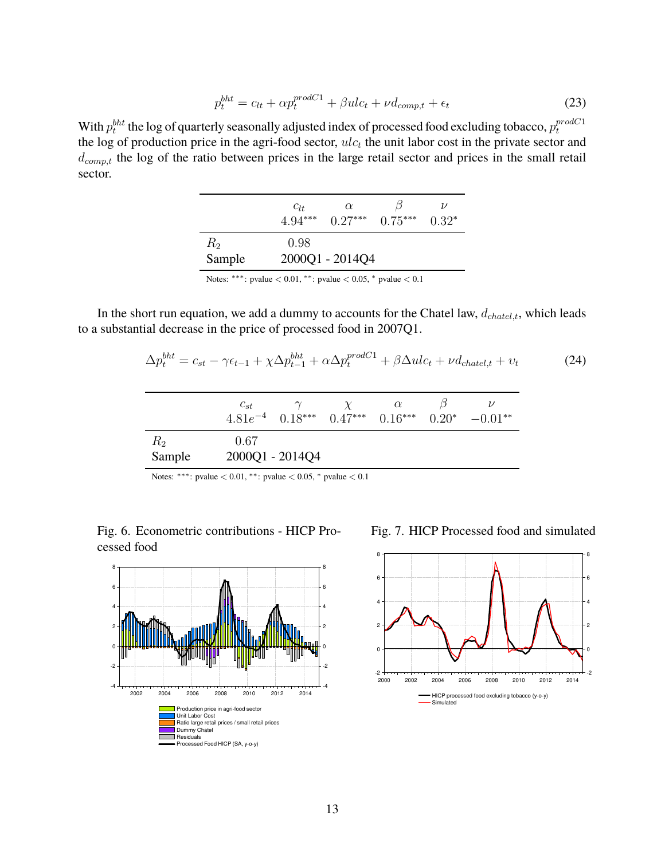$$
p_t^{bht} = c_{lt} + \alpha p_t^{prodC1} + \beta ulc_t + \nu d_{comp,t} + \epsilon_t
$$
\n(23)

With  $p_t^{bht}$  the log of quarterly seasonally adjusted index of processed food excluding tobacco,  $p_t^{prodC1}$ t the log of production price in the agri-food sector,  $ulc_t$  the unit labor cost in the private sector and  $d_{comp,t}$  the log of the ratio between prices in the large retail sector and prices in the small retail sector.

|                                                                           | $C_{lt}$ | $\alpha$<br>$4.94***$ $0.27***$ $0.75***$ |  | $\nu$<br>$0.32*$ |  |  |  |
|---------------------------------------------------------------------------|----------|-------------------------------------------|--|------------------|--|--|--|
| $R_2$                                                                     | 0.98     |                                           |  |                  |  |  |  |
| Sample                                                                    |          | 2000Q1 - 2014Q4                           |  |                  |  |  |  |
| Motors ***; gradua $\geq 0.01$ **; gradua $\geq 0.05$ * gradua $\geq 0.1$ |          |                                           |  |                  |  |  |  |

Notes: ∗∗∗: pvalue < 0.01, ∗∗: pvalue < 0.05, <sup>∗</sup> pvalue < 0.1

In the short run equation, we add a dummy to accounts for the Chatel law,  $d_{chatel,t}$ , which leads to a substantial decrease in the price of processed food in 2007Q1.

$$
\Delta p_t^{bht} = c_{st} - \gamma \epsilon_{t-1} + \chi \Delta p_{t-1}^{bht} + \alpha \Delta p_t^{prodC1} + \beta \Delta ulc_t + \nu d_{chatel, t} + \nu_t \tag{24}
$$

|                 | $c_{st}$                |  | $\alpha$ | $\nu$<br>$4.81e^{-4}$ $0.18***$ $0.47***$ $0.16***$ $0.20*$ $-0.01**$ |
|-----------------|-------------------------|--|----------|-----------------------------------------------------------------------|
| $R_2$<br>Sample | 0.67<br>2000Q1 - 2014Q4 |  |          |                                                                       |

Notes: ∗∗∗: pvalue < 0.01, ∗∗: pvalue < 0.05, <sup>∗</sup> pvalue < 0.1

Fig. 6. Econometric contributions - HICP Processed food





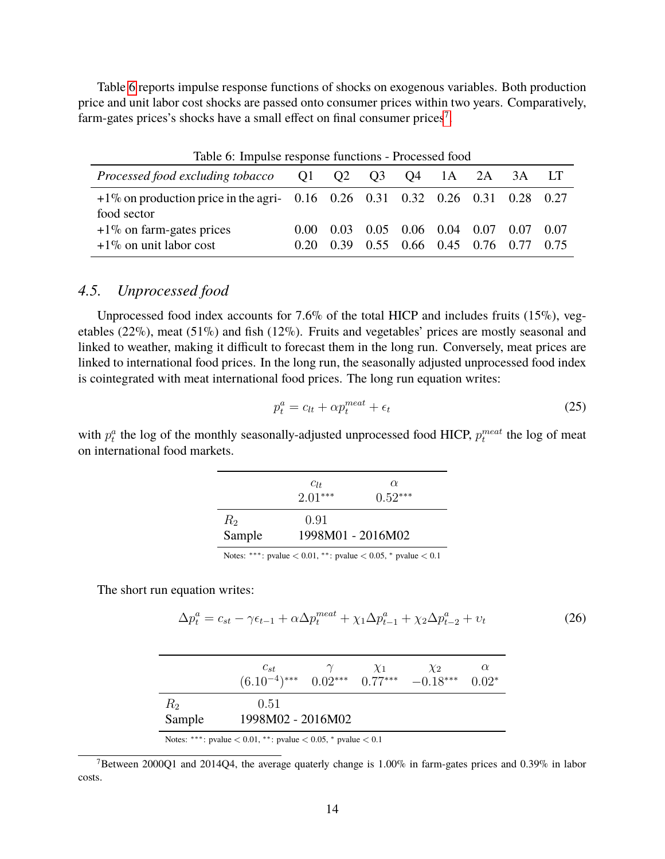Table [6](#page-16-0) reports impulse response functions of shocks on exogenous variables. Both production price and unit labor cost shocks are passed onto consumer prices within two years. Comparatively, farm-gates prices's shocks have a small effect on final consumer prices<sup>[7](#page-3-0)</sup>.

| Table 0. Impulse response functions - I focessed food                                          |                         |      |  |  |                                                                  |  |  |      |  |
|------------------------------------------------------------------------------------------------|-------------------------|------|--|--|------------------------------------------------------------------|--|--|------|--|
| Processed food excluding tobacco                                                               | Q1 Q2 Q3 Q4 1A 2A 3A LT |      |  |  |                                                                  |  |  |      |  |
| $+1\%$ on production price in the agri- 0.16 0.26 0.31 0.32 0.26 0.31 0.28 0.27<br>food sector |                         |      |  |  |                                                                  |  |  |      |  |
| $+1\%$ on farm-gates prices<br>$+1\%$ on unit labor cost                                       | 0.00<br>0.20            | 0.39 |  |  | $0.03$ 0.05 0.06 0.04 0.07 0.07 0.07<br>0.55 0.66 0.45 0.76 0.77 |  |  | 0.75 |  |

<span id="page-16-0"></span>Table 6: Impulse response functions - Processed food

### *4.5. Unprocessed food*

Unprocessed food index accounts for 7.6% of the total HICP and includes fruits (15%), vegetables (22%), meat (51%) and fish (12%). Fruits and vegetables' prices are mostly seasonal and linked to weather, making it difficult to forecast them in the long run. Conversely, meat prices are linked to international food prices. In the long run, the seasonally adjusted unprocessed food index is cointegrated with meat international food prices. The long run equation writes:

$$
p_t^a = c_{lt} + \alpha p_t^{meat} + \epsilon_t \tag{25}
$$

with  $p_t^a$  the log of the monthly seasonally-adjusted unprocessed food HICP,  $p_t^{meat}$  the log of meat on international food markets.

|                          | $C_{lt}$<br>$2.01***$     | $\alpha$<br>$0.52***$ |  |
|--------------------------|---------------------------|-----------------------|--|
| R <sub>2</sub><br>Sample | 0.91<br>1998M01 - 2016M02 |                       |  |

Notes: \*\*\*: pvalue  $< 0.01$ , \*\*: pvalue  $< 0.05$ , \* pvalue  $< 0.1$ 

The short run equation writes:

$$
\Delta p_t^a = c_{st} - \gamma \epsilon_{t-1} + \alpha \Delta p_t^{meat} + \chi_1 \Delta p_{t-1}^a + \chi_2 \Delta p_{t-2}^a + v_t \tag{26}
$$

|                                                                      | $c_{st}$<br>$(6.10^{-4})$ *** $0.02$ *** $0.77$ *** $-0.18$ *** $0.02$ * |  | $X_1$ | X <sub>2</sub> | $\alpha$ |  |  |  |
|----------------------------------------------------------------------|--------------------------------------------------------------------------|--|-------|----------------|----------|--|--|--|
| $R_2$<br>Sample                                                      | (0.51)<br>1998M02 - 2016M02                                              |  |       |                |          |  |  |  |
| Notes: ***: pvalue $< 0.01$ , **: pvalue $< 0.05$ , * pvalue $< 0.1$ |                                                                          |  |       |                |          |  |  |  |

<sup>7</sup>Between 2000Q1 and 2014Q4, the average quaterly change is  $1.00\%$  in farm-gates prices and 0.39% in labor costs.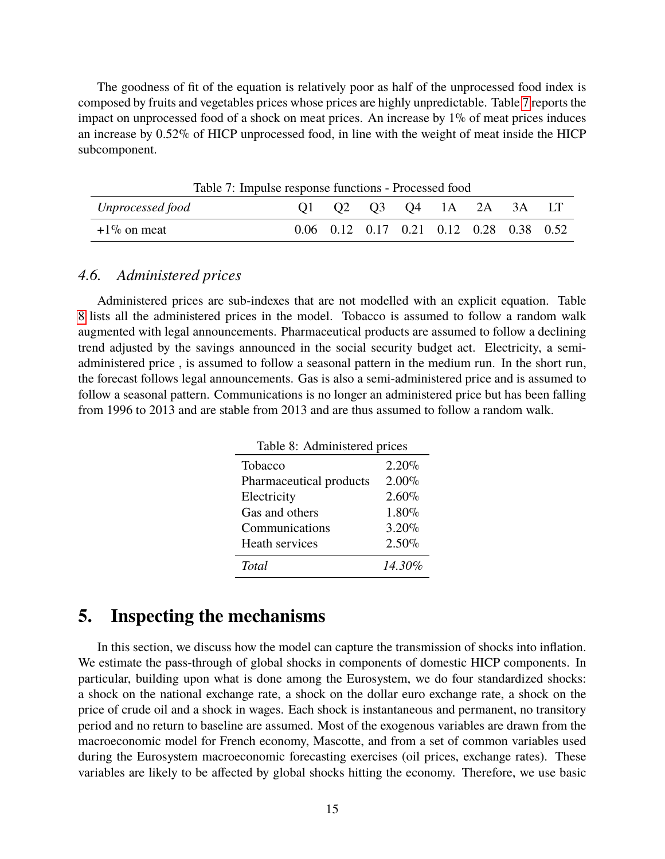The goodness of fit of the equation is relatively poor as half of the unprocessed food index is composed by fruits and vegetables prices whose prices are highly unpredictable. Table [7](#page-17-1) reports the impact on unprocessed food of a shock on meat prices. An increase by 1% of meat prices induces an increase by 0.52% of HICP unprocessed food, in line with the weight of meat inside the HICP subcomponent.

<span id="page-17-1"></span>

| Table 7: Impulse response functions - Processed food |  |  |  |  |                                                         |  |  |  |  |
|------------------------------------------------------|--|--|--|--|---------------------------------------------------------|--|--|--|--|
| Unprocessed food<br>Q1 Q2 Q3 Q4 1A 2A 3A LT          |  |  |  |  |                                                         |  |  |  |  |
| $+1\%$ on meat                                       |  |  |  |  | $0.06$ $0.12$ $0.17$ $0.21$ $0.12$ $0.28$ $0.38$ $0.52$ |  |  |  |  |

#### *4.6. Administered prices*

Administered prices are sub-indexes that are not modelled with an explicit equation. Table [8](#page-17-2) lists all the administered prices in the model. Tobacco is assumed to follow a random walk augmented with legal announcements. Pharmaceutical products are assumed to follow a declining trend adjusted by the savings announced in the social security budget act. Electricity, a semiadministered price , is assumed to follow a seasonal pattern in the medium run. In the short run, the forecast follows legal announcements. Gas is also a semi-administered price and is assumed to follow a seasonal pattern. Communications is no longer an administered price but has been falling from 1996 to 2013 and are stable from 2013 and are thus assumed to follow a random walk.

<span id="page-17-2"></span>

| Table 8: Administered prices |          |  |  |  |  |  |
|------------------------------|----------|--|--|--|--|--|
| Tobacco                      | 2.20%    |  |  |  |  |  |
| Pharmaceutical products      | $2.00\%$ |  |  |  |  |  |
| Electricity                  | 2.60%    |  |  |  |  |  |
| Gas and others               | $1.80\%$ |  |  |  |  |  |
| Communications               | 3.20%    |  |  |  |  |  |
| <b>Heath services</b>        | $2.50\%$ |  |  |  |  |  |
| Total                        | 14.30%   |  |  |  |  |  |

## <span id="page-17-0"></span>**5. Inspecting the mechanisms**

In this section, we discuss how the model can capture the transmission of shocks into inflation. We estimate the pass-through of global shocks in components of domestic HICP components. In particular, building upon what is done among the Eurosystem, we do four standardized shocks: a shock on the national exchange rate, a shock on the dollar euro exchange rate, a shock on the price of crude oil and a shock in wages. Each shock is instantaneous and permanent, no transitory period and no return to baseline are assumed. Most of the exogenous variables are drawn from the macroeconomic model for French economy, Mascotte, and from a set of common variables used during the Eurosystem macroeconomic forecasting exercises (oil prices, exchange rates). These variables are likely to be affected by global shocks hitting the economy. Therefore, we use basic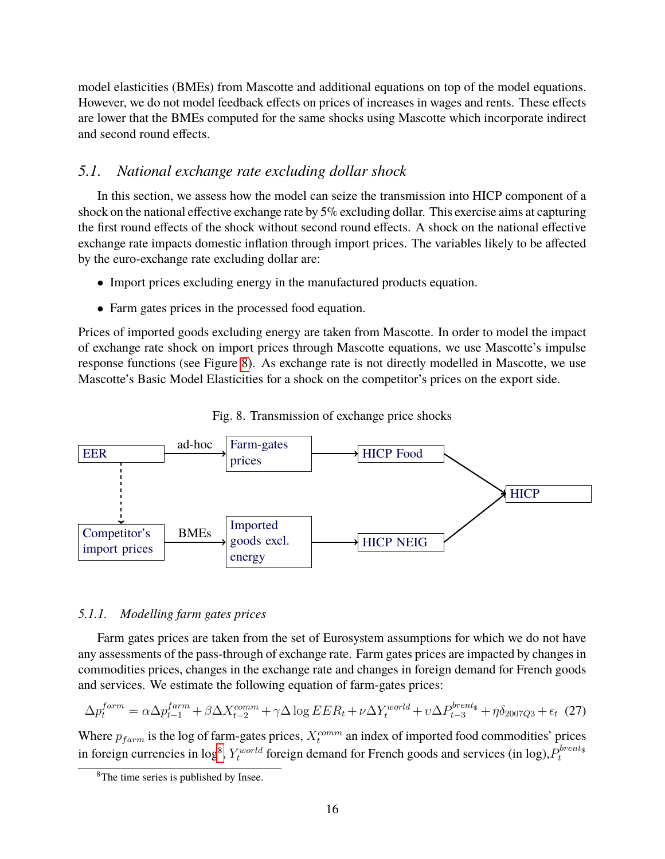model elasticities (BMEs) from Mascotte and additional equations on top of the model equations. However, we do not model feedback effects on prices of increases in wages and rents. These effects are lower that the BMEs computed for the same shocks using Mascotte which incorporate indirect and second round effects.

#### *5.1. National exchange rate excluding dollar shock*

In this section, we assess how the model can seize the transmission into HICP component of a shock on the national effective exchange rate by 5% excluding dollar. This exercise aims at capturing the first round effects of the shock without second round effects. A shock on the national effective exchange rate impacts domestic inflation through import prices. The variables likely to be affected by the euro-exchange rate excluding dollar are:

- Import prices excluding energy in the manufactured products equation.
- Farm gates prices in the processed food equation.

Prices of imported goods excluding energy are taken from Mascotte. In order to model the impact of exchange rate shock on import prices through Mascotte equations, we use Mascotte's impulse response functions (see Figure [8\)](#page-18-0). As exchange rate is not directly modelled in Mascotte, we use Mascotte's Basic Model Elasticities for a shock on the competitor's prices on the export side.



<span id="page-18-0"></span>Fig. 8. Transmission of exchange price shocks

#### *5.1.1. Modelling farm gates prices*

Farm gates prices are taken from the set of Eurosystem assumptions for which we do not have any assessments of the pass-through of exchange rate. Farm gates prices are impacted by changes in commodities prices, changes in the exchange rate and changes in foreign demand for French goods and services. We estimate the following equation of farm-gates prices:

<span id="page-18-1"></span>
$$
\Delta p_t^{farm} = \alpha \Delta p_{t-1}^{farm} + \beta \Delta X_{t-2}^{comm} + \gamma \Delta \log EER_t + \nu \Delta Y_t^{world} + \nu \Delta P_{t-3}^{breats} + \eta \delta_{2007Q3} + \epsilon_t
$$
 (27)

Where  $p_{farm}$  is the log of farm-gates prices,  $X_t^{comm}$  an index of imported food commodities' prices in foreign currencies in log $^8$  $^8$ ,  $Y_t^{world}$  foreign demand for French goods and services (in log), $P_t^{brents}$ 

<sup>8</sup>The time series is published by Insee.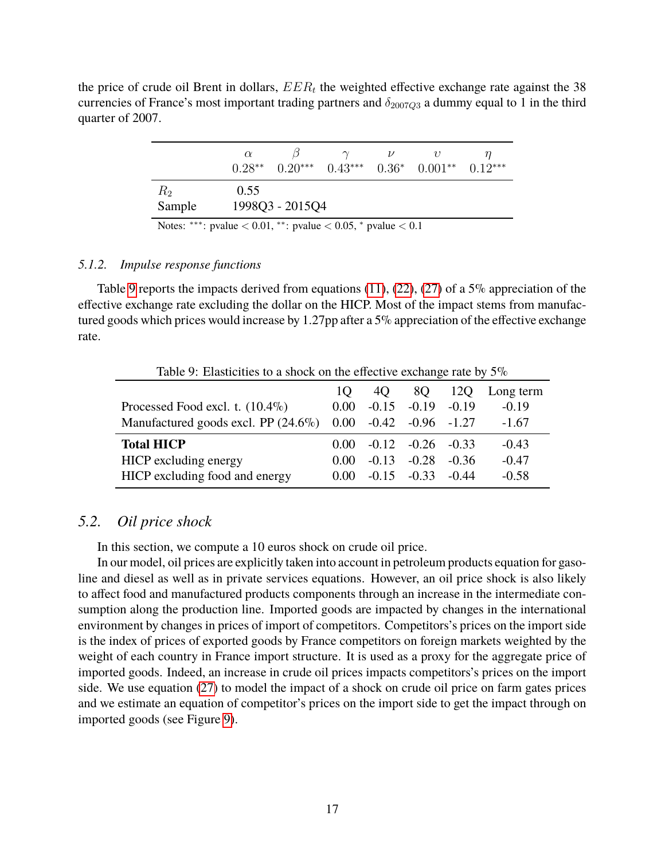the price of crude oil Brent in dollars,  $EER_t$  the weighted effective exchange rate against the 38 currencies of France's most important trading partners and  $\delta_{2007Q3}$  a dummy equal to 1 in the third quarter of 2007.

| 0.55<br>$R_{2}$<br>1998Q3 - 2015Q4<br>Sample | $\alpha$ |  | $0.28^{**}$ $0.20^{***}$ $0.43^{***}$ $0.36^{*}$ $0.001^{**}$ $0.12^{***}$ |  |
|----------------------------------------------|----------|--|----------------------------------------------------------------------------|--|
|                                              |          |  |                                                                            |  |
|                                              |          |  |                                                                            |  |

Notes: \*\*\*: pvalue  $< 0.01$ , \*\*: pvalue  $< 0.05$ , \* pvalue  $< 0.1$ 

#### *5.1.2. Impulse response functions*

Table [9](#page-19-0) reports the impacts derived from equations [\(11\)](#page-8-0), [\(22\)](#page-14-0), [\(27\)](#page-18-1) of a 5% appreciation of the effective exchange rate excluding the dollar on the HICP. Most of the impact stems from manufactured goods which prices would increase by 1.27pp after a 5% appreciation of the effective exchange rate.

<span id="page-19-0"></span>Table 9: Elasticities to a shock on the effective exchange rate by 5%

|                                                            | $10 -$            |                          | 4Q 8Q 12Q Long term |
|------------------------------------------------------------|-------------------|--------------------------|---------------------|
| Processed Food excl. t. $(10.4\%)$                         | 0.00 <sub>1</sub> | $-0.15$ $-0.19$ $-0.19$  | $-0.19$             |
| Manufactured goods excl. PP (24.6%) 0.00 -0.42 -0.96 -1.27 |                   |                          | $-1.67$             |
| <b>Total HICP</b>                                          |                   | $0.00 -0.12 -0.26 -0.33$ | $-0.43$             |
| HICP excluding energy                                      | $0.00^{\circ}$    | $-0.13 - 0.28 - 0.36$    | $-0.47$             |
| HICP excluding food and energy                             | $0.00 -$          | $-0.15$ $-0.33$ $-0.44$  | $-0.58$             |

### *5.2. Oil price shock*

In this section, we compute a 10 euros shock on crude oil price.

In our model, oil prices are explicitly taken into account in petroleum products equation for gasoline and diesel as well as in private services equations. However, an oil price shock is also likely to affect food and manufactured products components through an increase in the intermediate consumption along the production line. Imported goods are impacted by changes in the international environment by changes in prices of import of competitors. Competitors's prices on the import side is the index of prices of exported goods by France competitors on foreign markets weighted by the weight of each country in France import structure. It is used as a proxy for the aggregate price of imported goods. Indeed, an increase in crude oil prices impacts competitors's prices on the import side. We use equation [\(27\)](#page-18-1) to model the impact of a shock on crude oil price on farm gates prices and we estimate an equation of competitor's prices on the import side to get the impact through on imported goods (see Figure [9\)](#page-20-0).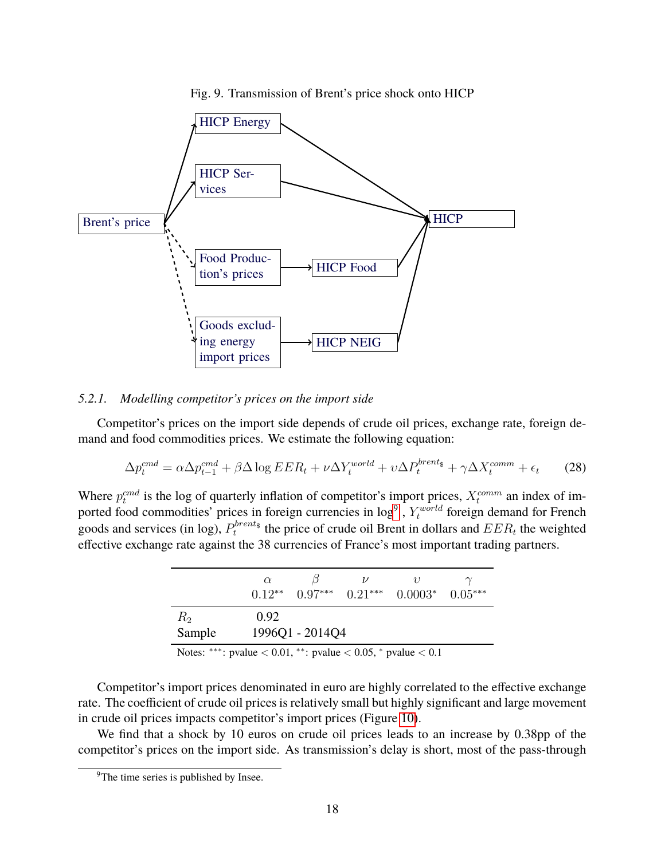#### <span id="page-20-0"></span>Fig. 9. Transmission of Brent's price shock onto HICP



#### *5.2.1. Modelling competitor's prices on the import side*

Competitor's prices on the import side depends of crude oil prices, exchange rate, foreign demand and food commodities prices. We estimate the following equation:

$$
\Delta p_t^{cmd} = \alpha \Delta p_{t-1}^{cmd} + \beta \Delta \log EER_t + \nu \Delta Y_t^{world} + \nu \Delta P_t^{brents} + \gamma \Delta X_t^{comm} + \epsilon_t \tag{28}
$$

Where  $p_t^{cmd}$  is the log of quarterly inflation of competitor's import prices,  $X_t^{comm}$  an index of imported food commodities' prices in foreign currencies in  $\log^9$  $\log^9$  ,  $Y_t^{world}$  foreign demand for French goods and services (in log),  $P_t^{brents}$  the price of crude oil Brent in dollars and  $EER_t$  the weighted effective exchange rate against the 38 currencies of France's most important trading partners.

|                   | $\alpha$ | $0.12^{**}$ $0.97^{***}$ $0.21^{***}$ | $0.0003^*$ $0.05^{***}$ |  |
|-------------------|----------|---------------------------------------|-------------------------|--|
| $R_{2}$<br>Sample | 0.92     | 1996Q1 - 2014Q4                       |                         |  |

Notes: \*\*\*: pvalue  $< 0.01$ , \*\*: pvalue  $< 0.05$ , \* pvalue  $< 0.1$ 

Competitor's import prices denominated in euro are highly correlated to the effective exchange rate. The coefficient of crude oil prices is relatively small but highly significant and large movement in crude oil prices impacts competitor's import prices (Figure [10\)](#page-21-0).

We find that a shock by 10 euros on crude oil prices leads to an increase by 0.38pp of the competitor's prices on the import side. As transmission's delay is short, most of the pass-through

<sup>&</sup>lt;sup>9</sup>The time series is published by Insee.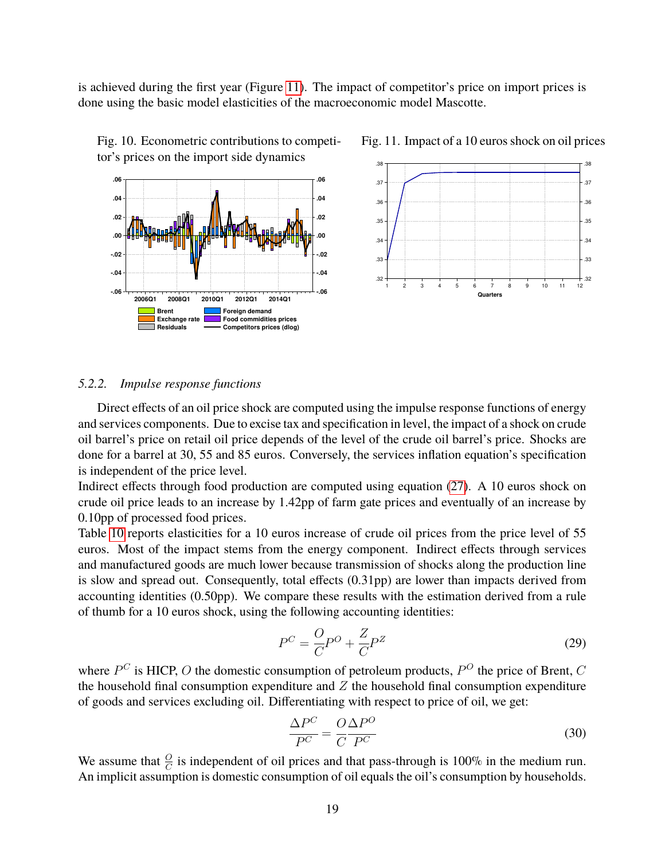is achieved during the first year (Figure [11\)](#page-21-1). The impact of competitor's price on import prices is done using the basic model elasticities of the macroeconomic model Mascotte.



<span id="page-21-0"></span>Fig. 10. Econometric contributions to competitor's prices on the import side dynamics



<span id="page-21-1"></span>Fig. 11. Impact of a 10 euros shock on oil prices

#### *5.2.2. Impulse response functions*

Direct effects of an oil price shock are computed using the impulse response functions of energy and services components. Due to excise tax and specification in level, the impact of a shock on crude oil barrel's price on retail oil price depends of the level of the crude oil barrel's price. Shocks are done for a barrel at 30, 55 and 85 euros. Conversely, the services inflation equation's specification is independent of the price level.

Indirect effects through food production are computed using equation [\(27\)](#page-18-1). A 10 euros shock on crude oil price leads to an increase by 1.42pp of farm gate prices and eventually of an increase by 0.10pp of processed food prices.

Table [10](#page-22-0) reports elasticities for a 10 euros increase of crude oil prices from the price level of 55 euros. Most of the impact stems from the energy component. Indirect effects through services and manufactured goods are much lower because transmission of shocks along the production line is slow and spread out. Consequently, total effects (0.31pp) are lower than impacts derived from accounting identities (0.50pp). We compare these results with the estimation derived from a rule of thumb for a 10 euros shock, using the following accounting identities:

$$
P^C = \frac{O}{C}P^O + \frac{Z}{C}P^Z
$$
\n<sup>(29)</sup>

where  $P^C$  is HICP, O the domestic consumption of petroleum products,  $P^O$  the price of Brent, C the household final consumption expenditure and  $Z$  the household final consumption expenditure of goods and services excluding oil. Differentiating with respect to price of oil, we get:

$$
\frac{\Delta P^C}{P^C} = \frac{O \Delta P^O}{C P^C} \tag{30}
$$

We assume that  $\frac{O}{C}$  is independent of oil prices and that pass-through is 100% in the medium run. An implicit assumption is domestic consumption of oil equals the oil's consumption by households.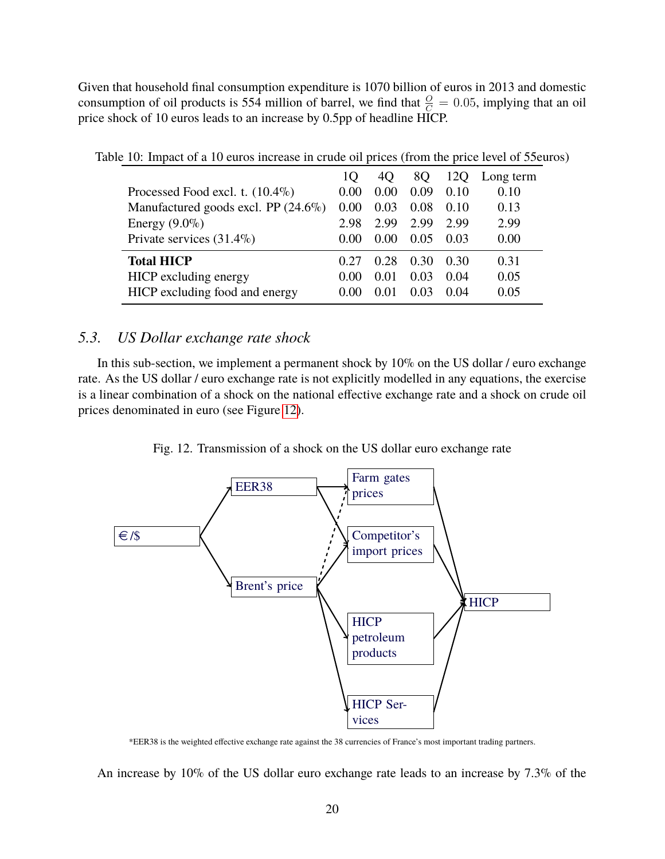Given that household final consumption expenditure is 1070 billion of euros in 2013 and domestic consumption of oil products is 554 million of barrel, we find that  $\frac{O}{C} = 0.05$ , implying that an oil price shock of 10 euros leads to an increase by 0.5pp of headline HICP.

<span id="page-22-0"></span>

| 10                                          | 4O   | 8Q   | 12Q  | Long term |
|---------------------------------------------|------|------|------|-----------|
| 0.00                                        | 0.00 | 0.09 | 0.10 | 0.10      |
| Manufactured goods excl. PP (24.6%)<br>0.00 | 0.03 | 0.08 | 0.10 | 0.13      |
| 2.98                                        | 2.99 | 2.99 | 2.99 | 2.99      |
| 0.00                                        | 0.00 | 0.05 | 0.03 | 0.00      |
| 0.27                                        | 0.28 | 0.30 | 0.30 | 0.31      |
| (0.00)                                      | 0.01 | 0.03 | 0.04 | 0.05      |
| (0.00)                                      | 0.01 | 0.03 | 0.04 | 0.05      |
|                                             |      |      |      |           |

### *5.3. US Dollar exchange rate shock*

In this sub-section, we implement a permanent shock by 10% on the US dollar / euro exchange rate. As the US dollar / euro exchange rate is not explicitly modelled in any equations, the exercise is a linear combination of a shock on the national effective exchange rate and a shock on crude oil prices denominated in euro (see Figure [12\)](#page-22-1).

<span id="page-22-1"></span>Fig. 12. Transmission of a shock on the US dollar euro exchange rate



\*EER38 is the weighted effective exchange rate against the 38 currencies of France's most important trading partners.

An increase by 10% of the US dollar euro exchange rate leads to an increase by 7.3% of the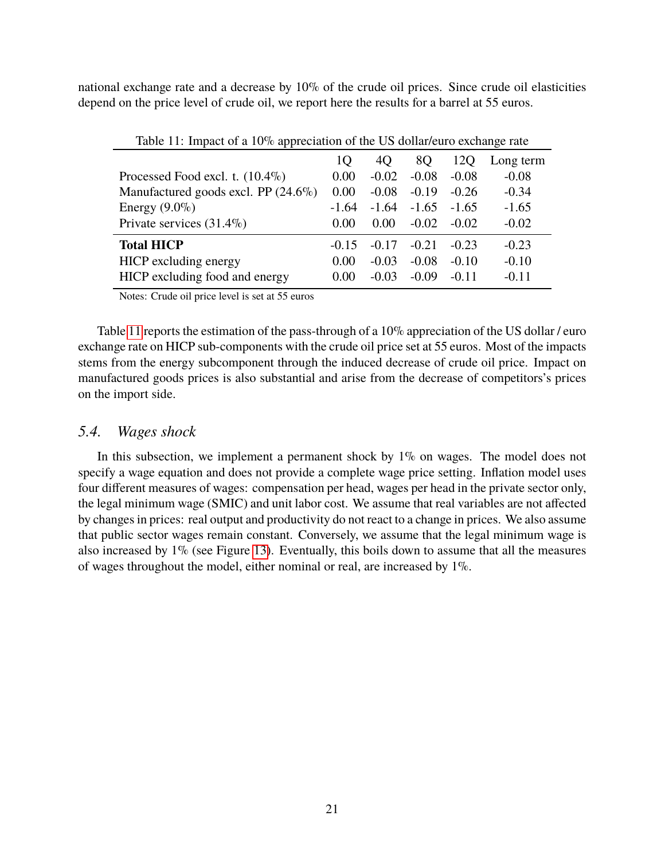national exchange rate and a decrease by 10% of the crude oil prices. Since crude oil elasticities depend on the price level of crude oil, we report here the results for a barrel at 55 euros.

| Table 11: Impact of a 10% appreciation of the US dollar/euro exchange rate |         |         |         |         |           |  |
|----------------------------------------------------------------------------|---------|---------|---------|---------|-----------|--|
|                                                                            | 10      | 40      | 8Q      | 12O     | Long term |  |
| Processed Food excl. t. $(10.4\%)$                                         | 0.00    | $-0.02$ | $-0.08$ | $-0.08$ | $-0.08$   |  |
| Manufactured goods excl. PP $(24.6\%)$                                     | 0.00    | $-0.08$ | $-0.19$ | $-0.26$ | $-0.34$   |  |
| Energy $(9.0\%)$                                                           | $-1.64$ | $-1.64$ | $-1.65$ | $-1.65$ | $-1.65$   |  |
| Private services $(31.4\%)$                                                | 0.00    | 0.00    | $-0.02$ | $-0.02$ | $-0.02$   |  |
| <b>Total HICP</b>                                                          | $-0.15$ | $-0.17$ | $-0.21$ | $-0.23$ | $-0.23$   |  |
| HICP excluding energy                                                      | 0.00    | $-0.03$ | $-0.08$ | $-0.10$ | $-0.10$   |  |
| HICP excluding food and energy                                             | 0.00    | $-0.03$ | $-0.09$ | $-0.11$ | $-0.11$   |  |

<span id="page-23-0"></span>Table 11: Impact of a 10% appreciation of the US dollar/euro exchange rate

Notes: Crude oil price level is set at 55 euros

Table [11](#page-23-0) reports the estimation of the pass-through of a 10% appreciation of the US dollar / euro exchange rate on HICP sub-components with the crude oil price set at 55 euros. Most of the impacts stems from the energy subcomponent through the induced decrease of crude oil price. Impact on manufactured goods prices is also substantial and arise from the decrease of competitors's prices on the import side.

#### *5.4. Wages shock*

In this subsection, we implement a permanent shock by 1% on wages. The model does not specify a wage equation and does not provide a complete wage price setting. Inflation model uses four different measures of wages: compensation per head, wages per head in the private sector only, the legal minimum wage (SMIC) and unit labor cost. We assume that real variables are not affected by changes in prices: real output and productivity do not react to a change in prices. We also assume that public sector wages remain constant. Conversely, we assume that the legal minimum wage is also increased by 1% (see Figure [13\)](#page-24-0). Eventually, this boils down to assume that all the measures of wages throughout the model, either nominal or real, are increased by 1%.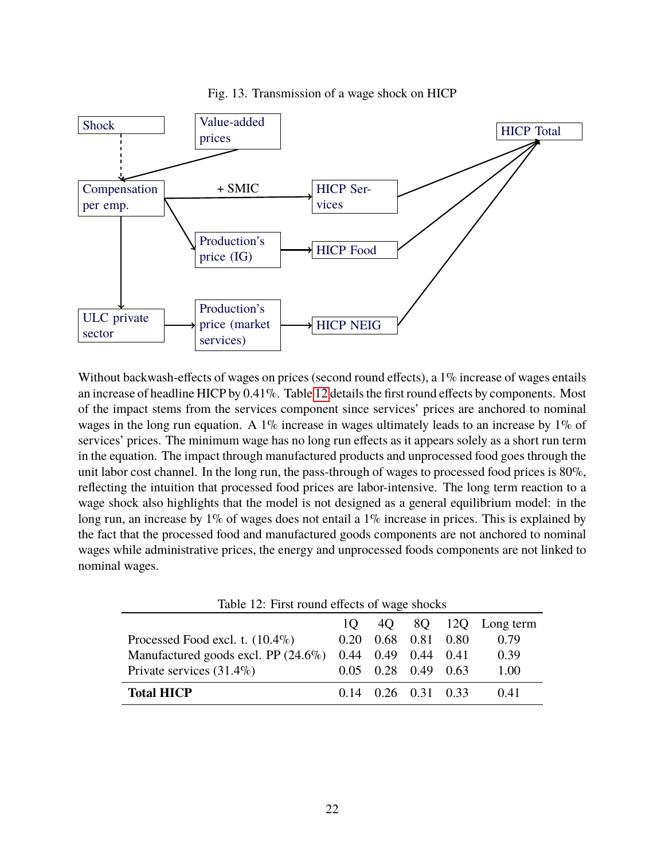

<span id="page-24-0"></span>Fig. 13. Transmission of a wage shock on HICP

Without backwash-effects of wages on prices (second round effects), a 1% increase of wages entails an increase of headline HICP by 0.41%. Table [12](#page-24-1) details the first round effects by components. Most of the impact stems from the services component since services' prices are anchored to nominal wages in the long run equation. A 1% increase in wages ultimately leads to an increase by 1% of services' prices. The minimum wage has no long run effects as it appears solely as a short run term in the equation. The impact through manufactured products and unprocessed food goes through the unit labor cost channel. In the long run, the pass-through of wages to processed food prices is 80%, reflecting the intuition that processed food prices are labor-intensive. The long term reaction to a wage shock also highlights that the model is not designed as a general equilibrium model: in the long run, an increase by 1% of wages does not entail a 1% increase in prices. This is explained by the fact that the processed food and manufactured goods components are not anchored to nominal wages while administrative prices, the energy and unprocessed foods components are not linked to nominal wages.

<span id="page-24-1"></span>

| Table 12: First round effects of wage shocks |      |                             |  |  |      |  |
|----------------------------------------------|------|-----------------------------|--|--|------|--|
| 1Q 4Q 8Q 12Q Long term                       |      |                             |  |  |      |  |
| Processed Food excl. t. $(10.4\%)$           | 0.20 | 0.68 0.81 0.80              |  |  | 0.79 |  |
| Manufactured goods excl. PP $(24.6\%)$       |      | $0.44$ $0.49$ $0.44$ $0.41$ |  |  | 0.39 |  |
| Private services $(31.4\%)$                  |      | $0.05$ $0.28$ $0.49$ $0.63$ |  |  | 1.00 |  |
| <b>Total HICP</b>                            |      | 0.14 0.26 0.31 0.33         |  |  | 0.41 |  |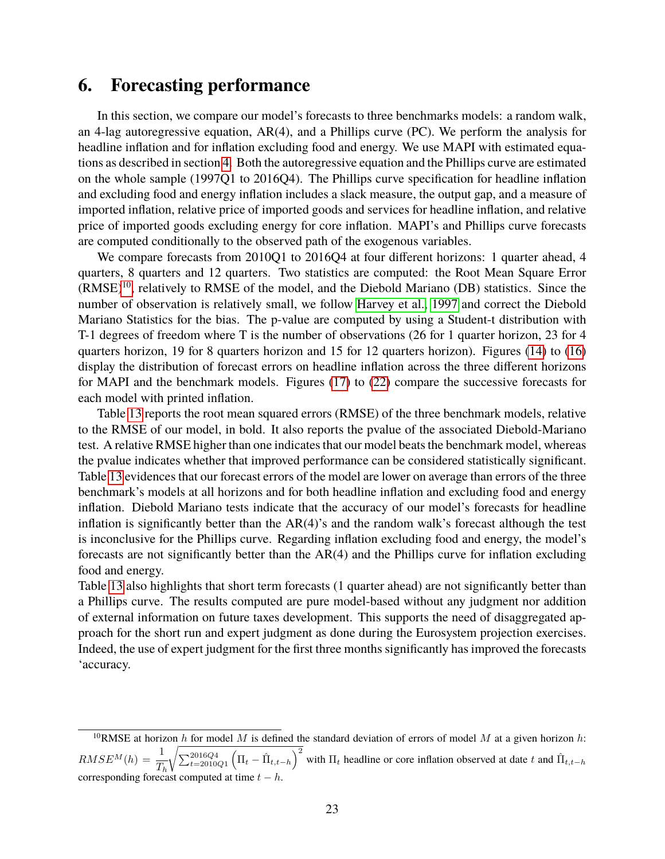## <span id="page-25-0"></span>**6. Forecasting performance**

In this section, we compare our model's forecasts to three benchmarks models: a random walk, an 4-lag autoregressive equation,  $AR(4)$ , and a Phillips curve (PC). We perform the analysis for headline inflation and for inflation excluding food and energy. We use MAPI with estimated equations as described in section [4.](#page-7-0) Both the autoregressive equation and the Phillips curve are estimated on the whole sample (1997Q1 to 2016Q4). The Phillips curve specification for headline inflation and excluding food and energy inflation includes a slack measure, the output gap, and a measure of imported inflation, relative price of imported goods and services for headline inflation, and relative price of imported goods excluding energy for core inflation. MAPI's and Phillips curve forecasts are computed conditionally to the observed path of the exogenous variables.

We compare forecasts from 2010Q1 to 2016Q4 at four different horizons: 1 quarter ahead, 4 quarters, 8 quarters and 12 quarters. Two statistics are computed: the Root Mean Square Error  $(RMSE)^{10}$  $(RMSE)^{10}$  $(RMSE)^{10}$ , relatively to RMSE of the model, and the Diebold Mariano (DB) statistics. Since the number of observation is relatively small, we follow [Harvey et al., 1997](#page-27-3) and correct the Diebold Mariano Statistics for the bias. The p-value are computed by using a Student-t distribution with T-1 degrees of freedom where T is the number of observations (26 for 1 quarter horizon, 23 for 4 quarters horizon, 19 for 8 quarters horizon and 15 for 12 quarters horizon). Figures [\(14\)](#page-28-0) to [\(16\)](#page-29-0) display the distribution of forecast errors on headline inflation across the three different horizons for MAPI and the benchmark models. Figures [\(17\)](#page-29-1) to [\(22\)](#page-30-0) compare the successive forecasts for each model with printed inflation.

Table [13](#page-26-0) reports the root mean squared errors (RMSE) of the three benchmark models, relative to the RMSE of our model, in bold. It also reports the pvalue of the associated Diebold-Mariano test. A relative RMSE higher than one indicates that our model beats the benchmark model, whereas the pvalue indicates whether that improved performance can be considered statistically significant. Table [13](#page-26-0) evidences that our forecast errors of the model are lower on average than errors of the three benchmark's models at all horizons and for both headline inflation and excluding food and energy inflation. Diebold Mariano tests indicate that the accuracy of our model's forecasts for headline inflation is significantly better than the  $AR(4)$ 's and the random walk's forecast although the test is inconclusive for the Phillips curve. Regarding inflation excluding food and energy, the model's forecasts are not significantly better than the AR(4) and the Phillips curve for inflation excluding food and energy.

Table [13](#page-26-0) also highlights that short term forecasts (1 quarter ahead) are not significantly better than a Phillips curve. The results computed are pure model-based without any judgment nor addition of external information on future taxes development. This supports the need of disaggregated approach for the short run and expert judgment as done during the Eurosystem projection exercises. Indeed, the use of expert judgment for the first three months significantly has improved the forecasts 'accuracy.

<sup>&</sup>lt;sup>10</sup>RMSE at horizon h for model M is defined the standard deviation of errors of model M at a given horizon h:  $RMSE^{M}(h) = \frac{1}{\sqrt{n}}$  $\scriptstyle T_h$  $\sqrt{\sum_{t=2010Q1}^{2016Q4} (\Pi_t - \hat{\Pi}_{t,t-h})^2}$  with  $\Pi_t$  headline or core inflation observed at date t and  $\hat{\Pi}_{t,t-h}$ corresponding forecast computed at time  $t - h$ .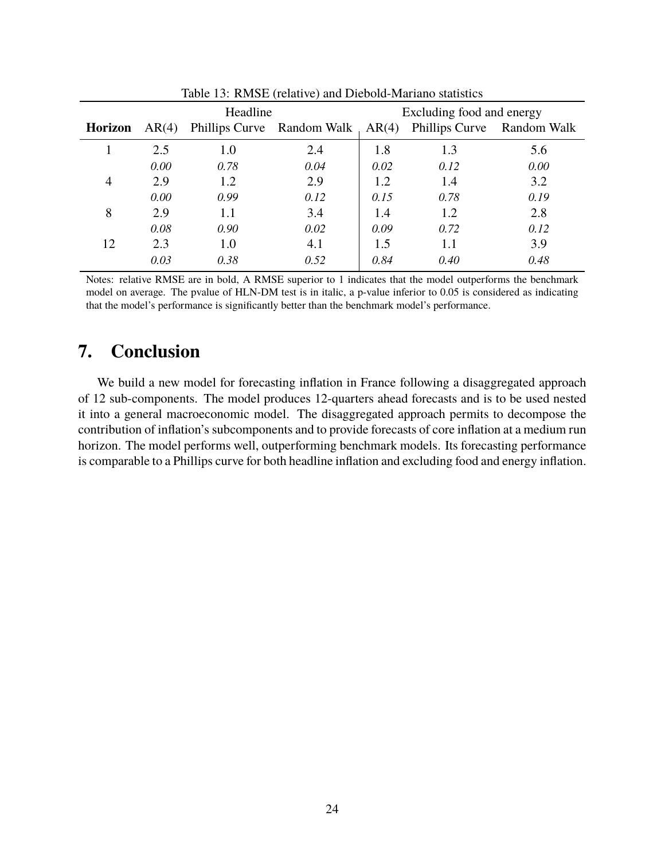|                | Headline |      |                            |       | Excluding food and energy |             |
|----------------|----------|------|----------------------------|-------|---------------------------|-------------|
| <b>Horizon</b> | AR(4)    |      | Phillips Curve Random Walk | AR(4) | Phillips Curve            | Random Walk |
|                | 2.5      | 1.0  | 2.4                        | 1.8   | 1.3                       | 5.6         |
|                | 0.00     | 0.78 | 0.04                       | 0.02  | 0.12                      | 0.00        |
| 4              | 2.9      | 1.2  | 2.9                        | 1.2   | 1.4                       | 3.2         |
|                | 0.00     | 0.99 | 0.12                       | 0.15  | 0.78                      | 0.19        |
| 8              | 2.9      | 1.1  | 3.4                        | 1.4   | 1.2                       | 2.8         |
|                | 0.08     | 0.90 | 0.02                       | 0.09  | 0.72                      | 0.12        |
| 12             | 2.3      | 1.0  | 4.1                        | 1.5   | 1.1                       | 3.9         |
|                | 0.03     | 0.38 | 0.52                       | 0.84  | 0.40                      | 0.48        |

<span id="page-26-0"></span>Table 13: RMSE (relative) and Diebold-Mariano statistics

Notes: relative RMSE are in bold, A RMSE superior to 1 indicates that the model outperforms the benchmark model on average. The pvalue of HLN-DM test is in italic, a p-value inferior to 0.05 is considered as indicating that the model's performance is significantly better than the benchmark model's performance.

## **7. Conclusion**

We build a new model for forecasting inflation in France following a disaggregated approach of 12 sub-components. The model produces 12-quarters ahead forecasts and is to be used nested it into a general macroeconomic model. The disaggregated approach permits to decompose the contribution of inflation's subcomponents and to provide forecasts of core inflation at a medium run horizon. The model performs well, outperforming benchmark models. Its forecasting performance is comparable to a Phillips curve for both headline inflation and excluding food and energy inflation.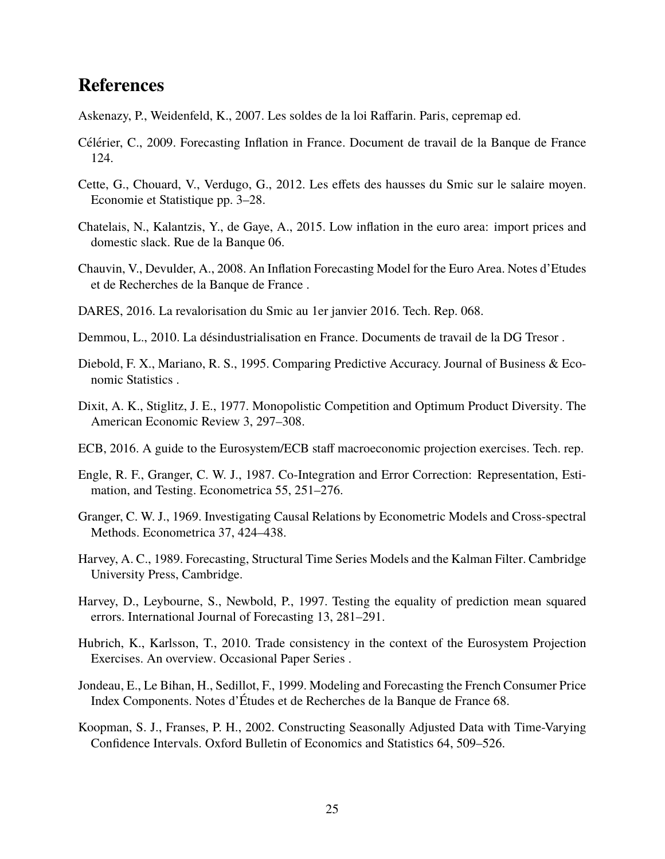## **References**

- <span id="page-27-7"></span>Askenazy, P., Weidenfeld, K., 2007. Les soldes de la loi Raffarin. Paris, cepremap ed.
- <span id="page-27-0"></span>Célérier, C., 2009. Forecasting Inflation in France. Document de travail de la Banque de France 124.
- <span id="page-27-6"></span>Cette, G., Chouard, V., Verdugo, G., 2012. Les effets des hausses du Smic sur le salaire moyen. Economie et Statistique pp. 3–28.
- <span id="page-27-10"></span>Chatelais, N., Kalantzis, Y., de Gaye, A., 2015. Low inflation in the euro area: import prices and domestic slack. Rue de la Banque 06.
- Chauvin, V., Devulder, A., 2008. An Inflation Forecasting Model for the Euro Area. Notes d'Etudes et de Recherches de la Banque de France .
- <span id="page-27-5"></span>DARES, 2016. La revalorisation du Smic au 1er janvier 2016. Tech. Rep. 068.
- <span id="page-27-4"></span>Demmou, L., 2010. La desindustrialisation en France. Documents de travail de la DG Tresor . ´
- Diebold, F. X., Mariano, R. S., 1995. Comparing Predictive Accuracy. Journal of Business & Economic Statistics .
- <span id="page-27-2"></span>Dixit, A. K., Stiglitz, J. E., 1977. Monopolistic Competition and Optimum Product Diversity. The American Economic Review 3, 297–308.
- ECB, 2016. A guide to the Eurosystem/ECB staff macroeconomic projection exercises. Tech. rep.
- <span id="page-27-11"></span>Engle, R. F., Granger, C. W. J., 1987. Co-Integration and Error Correction: Representation, Estimation, and Testing. Econometrica 55, 251–276.
- Granger, C. W. J., 1969. Investigating Causal Relations by Econometric Models and Cross-spectral Methods. Econometrica 37, 424–438.
- <span id="page-27-8"></span>Harvey, A. C., 1989. Forecasting, Structural Time Series Models and the Kalman Filter. Cambridge University Press, Cambridge.
- <span id="page-27-3"></span>Harvey, D., Leybourne, S., Newbold, P., 1997. Testing the equality of prediction mean squared errors. International Journal of Forecasting 13, 281–291.
- Hubrich, K., Karlsson, T., 2010. Trade consistency in the context of the Eurosystem Projection Exercises. An overview. Occasional Paper Series .
- <span id="page-27-1"></span>Jondeau, E., Le Bihan, H., Sedillot, F., 1999. Modeling and Forecasting the French Consumer Price Index Components. Notes d'Etudes et de Recherches de la Banque de France 68. ´
- <span id="page-27-9"></span>Koopman, S. J., Franses, P. H., 2002. Constructing Seasonally Adjusted Data with Time-Varying Confidence Intervals. Oxford Bulletin of Economics and Statistics 64, 509–526.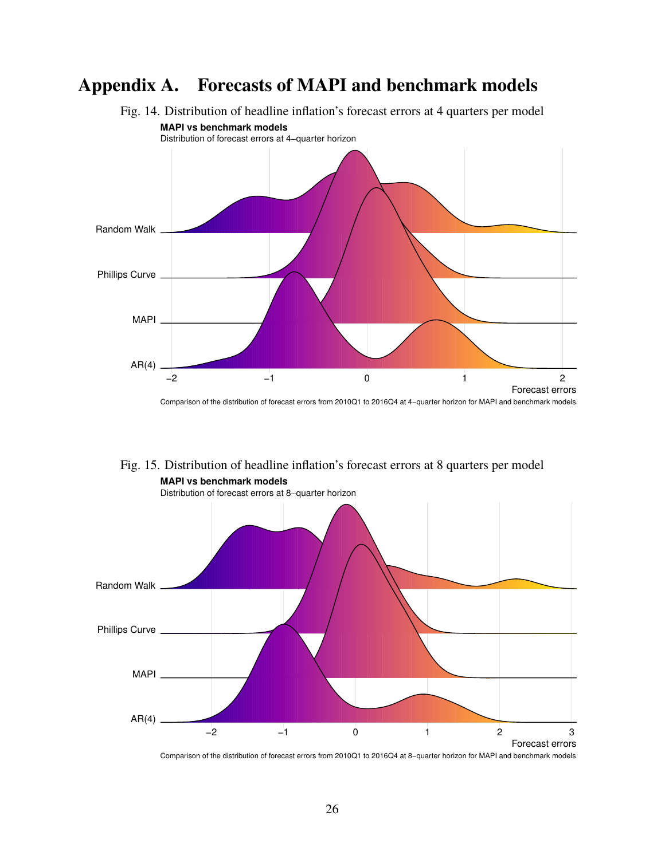## **Appendix A. Forecasts of MAPI and benchmark models**

<span id="page-28-0"></span>



Comparison of the distribution of forecast errors from 2010Q1 to 2016Q4 at 8−quarter horizon for MAPI and benchmark models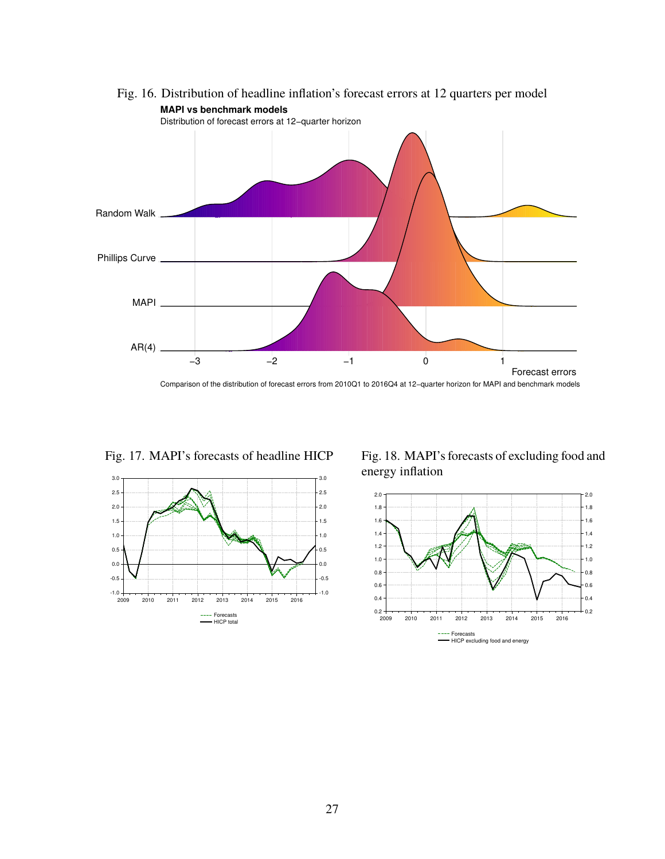<span id="page-29-0"></span>



<span id="page-29-1"></span>Fig. 17. MAPI's forecasts of headline HICP

Fig. 18. MAPI's forecasts of excluding food and energy inflation

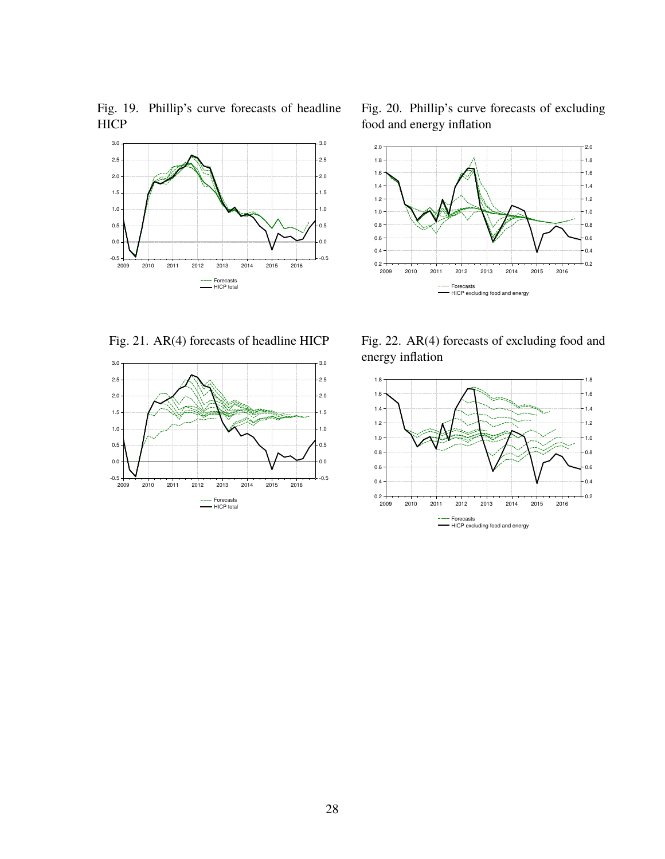Fig. 19. Phillip's curve forecasts of headline **HICP** 



Fig. 20. Phillip's curve forecasts of excluding food and energy inflation



Fig. 21. AR(4) forecasts of headline HICP



<span id="page-30-0"></span>Fig. 22. AR(4) forecasts of excluding food and energy inflation

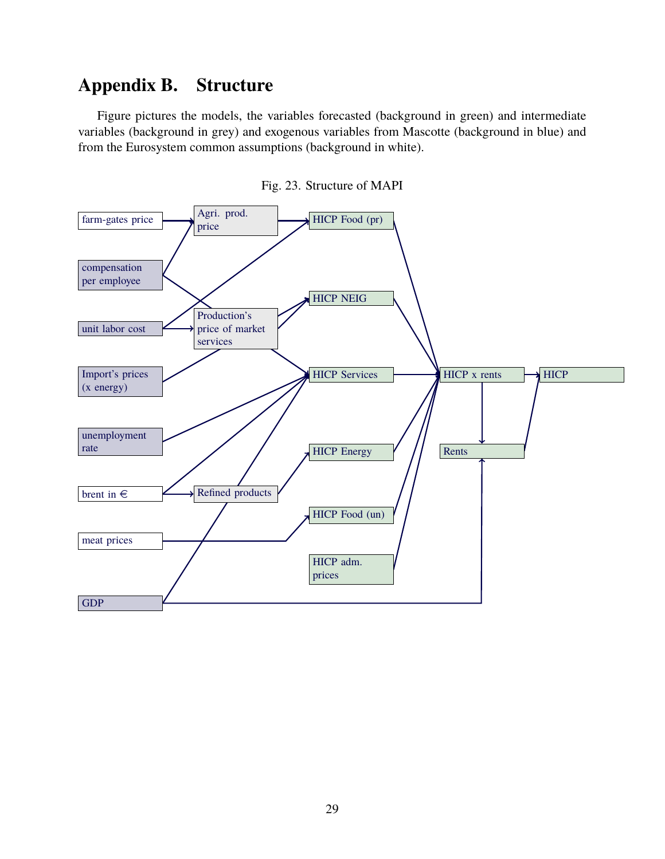## **Appendix B. Structure**

Figure pictures the models, the variables forecasted (background in green) and intermediate variables (background in grey) and exogenous variables from Mascotte (background in blue) and from the Eurosystem common assumptions (background in white).



Fig. 23. Structure of MAPI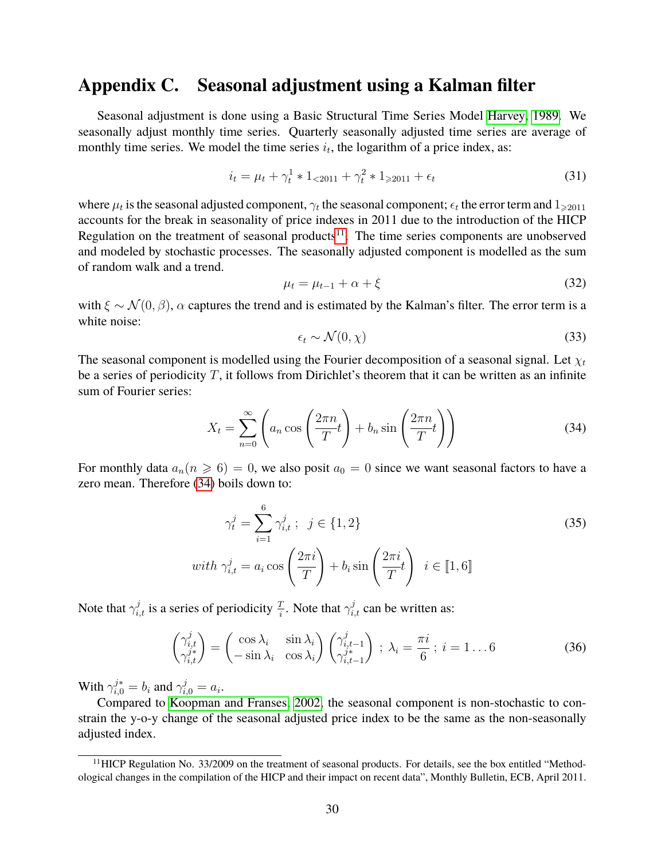## **Appendix C. Seasonal adjustment using a Kalman filter**

Seasonal adjustment is done using a Basic Structural Time Series Model [Harvey, 1989.](#page-27-8) We seasonally adjust monthly time series. Quarterly seasonally adjusted time series are average of monthly time series. We model the time series  $i_t$ , the logarithm of a price index, as:

$$
i_t = \mu_t + \gamma_t^1 * 1_{\leq 2011} + \gamma_t^2 * 1_{\geq 2011} + \epsilon_t
$$
\n(31)

where  $\mu_t$  is the seasonal adjusted component,  $\gamma_t$  the seasonal component;  $\epsilon_t$  the error term and  $1_{\geqslant 2011}$ accounts for the break in seasonality of price indexes in 2011 due to the introduction of the HICP Regulation on the treatment of seasonal products<sup>[11](#page-3-0)</sup>. The time series components are unobserved and modeled by stochastic processes. The seasonally adjusted component is modelled as the sum of random walk and a trend.

$$
\mu_t = \mu_{t-1} + \alpha + \xi \tag{32}
$$

with  $\xi \sim \mathcal{N}(0, \beta)$ ,  $\alpha$  captures the trend and is estimated by the Kalman's filter. The error term is a white noise:

$$
\epsilon_t \sim \mathcal{N}(0, \chi) \tag{33}
$$

The seasonal component is modelled using the Fourier decomposition of a seasonal signal. Let  $\chi_t$ be a series of periodicity  $T$ , it follows from Dirichlet's theorem that it can be written as an infinite sum of Fourier series:

<span id="page-32-0"></span>
$$
X_t = \sum_{n=0}^{\infty} \left( a_n \cos \left( \frac{2\pi n}{T} t \right) + b_n \sin \left( \frac{2\pi n}{T} t \right) \right)
$$
(34)

For monthly data  $a_n(n \ge 6) = 0$ , we also posit  $a_0 = 0$  since we want seasonal factors to have a zero mean. Therefore [\(34\)](#page-32-0) boils down to:

$$
\gamma_t^j = \sum_{i=1}^6 \gamma_{i,t}^j; \quad j \in \{1, 2\}
$$
\n
$$
with \quad \gamma_{i,t}^j = a_i \cos\left(\frac{2\pi i}{T}\right) + b_i \sin\left(\frac{2\pi i}{T}t\right) \quad i \in [\![1, 6]\!]
$$
\n
$$
(35)
$$

Note that  $\gamma_{i,t}^j$  is a series of periodicity  $\frac{T}{i}$ . Note that  $\gamma_{i,t}^j$  can be written as:

$$
\begin{pmatrix} \gamma_{i,t}^j \\ \gamma_{i,t}^{j*} \end{pmatrix} = \begin{pmatrix} \cos \lambda_i & \sin \lambda_i \\ -\sin \lambda_i & \cos \lambda_i \end{pmatrix} \begin{pmatrix} \gamma_{i,t-1}^j \\ \gamma_{i,t-1}^{j*} \end{pmatrix} \; ; \; \lambda_i = \frac{\pi i}{6} \; ; \; i = 1 \dots 6 \tag{36}
$$

With  $\gamma_{i,0}^{j*} = b_i$  and  $\gamma_{i,0}^j = a_i$ .

Compared to [Koopman and Franses, 2002,](#page-27-9) the seasonal component is non-stochastic to constrain the y-o-y change of the seasonal adjusted price index to be the same as the non-seasonally adjusted index.

<sup>&</sup>lt;sup>11</sup>HICP Regulation No. 33/2009 on the treatment of seasonal products. For details, see the box entitled "Methodological changes in the compilation of the HICP and their impact on recent data", Monthly Bulletin, ECB, April 2011.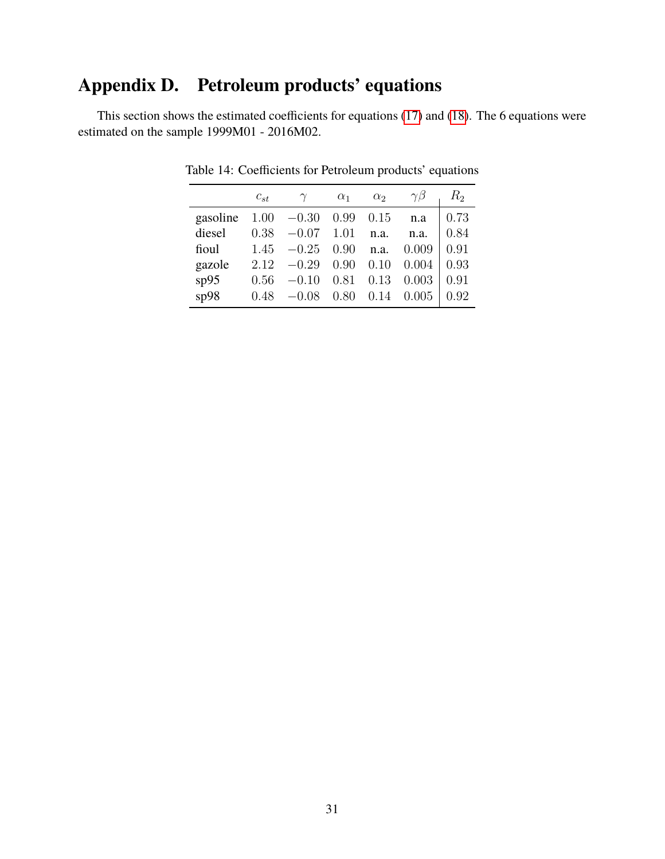## <span id="page-33-0"></span>**Appendix D. Petroleum products' equations**

This section shows the estimated coefficients for equations [\(17\)](#page-13-1) and [\(18\)](#page-13-2). The 6 equations were estimated on the sample 1999M01 - 2016M02.

|                                 | $c_{st}$ | $\gamma$               | $\alpha_1$ | $\alpha_2$ | $\gamma\beta$                 | $R_{2}$ |
|---------------------------------|----------|------------------------|------------|------------|-------------------------------|---------|
| gasoline $1.00 -0.30 0.99 0.15$ |          |                        |            |            | n.a                           | 0.73    |
| diesel                          |          | $0.38 -0.07$ 1.01 n.a. |            |            | n.a.                          | 0.84    |
| fioul                           |          | $1.45 -0.25 0.90$ n.a. |            |            | 0.009                         | 0.91    |
| gazole                          |          | $2.12 -0.29 0.90$      |            | 0.10       | 0.004                         | 0.93    |
| sp95                            | 0.56     | $-0.10$                | 0.81       | 0.13       | 0.003                         | 0.91    |
| sp98                            |          | $0.48 - 0.08$          |            |            | $0.80 \quad 0.14 \quad 0.005$ | 0.92    |

Table 14: Coefficients for Petroleum products' equations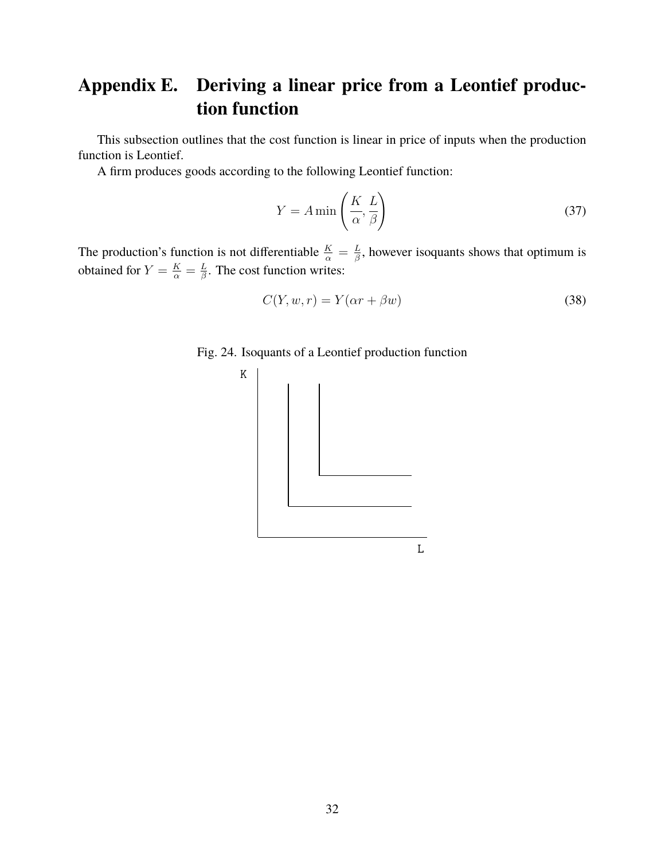## <span id="page-34-0"></span>**Appendix E. Deriving a linear price from a Leontief production function**

This subsection outlines that the cost function is linear in price of inputs when the production function is Leontief.

A firm produces goods according to the following Leontief function:

$$
Y = A \min\left(\frac{K}{\alpha}, \frac{L}{\beta}\right) \tag{37}
$$

The production's function is not differentiable  $\frac{K}{\alpha} = \frac{L}{\beta}$  $\frac{L}{\beta}$ , however isoquants shows that optimum is obtained for  $Y = \frac{K}{\alpha} = \frac{L}{\beta}$  $\frac{L}{\beta}$ . The cost function writes:

$$
C(Y, w, r) = Y(\alpha r + \beta w)
$$
\n(38)



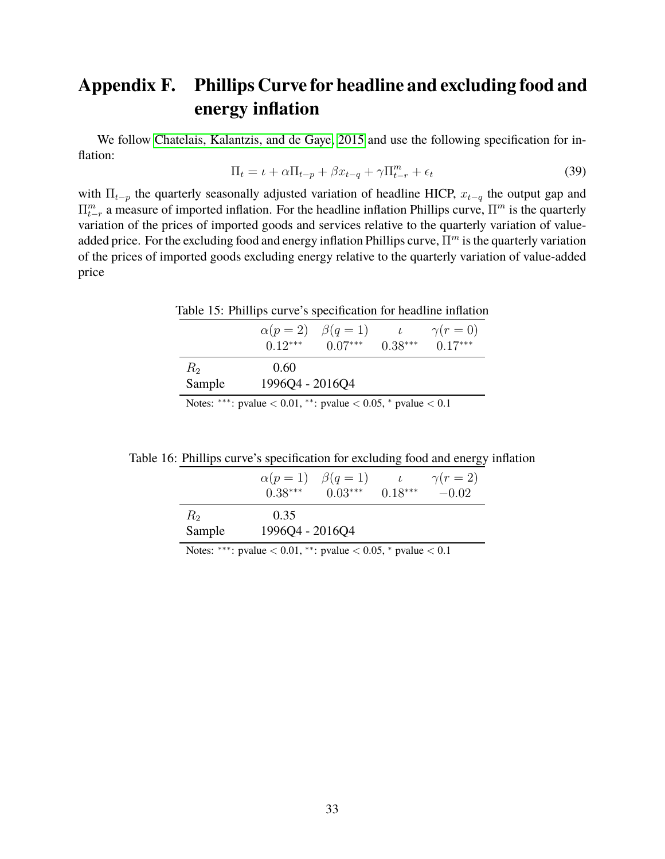## **Appendix F. Phillips Curve for headline and excluding food and energy inflation**

We follow [Chatelais, Kalantzis, and de Gaye, 2015](#page-27-10) and use the following specification for inflation:

$$
\Pi_t = \iota + \alpha \Pi_{t-p} + \beta x_{t-q} + \gamma \Pi_{t-r}^m + \epsilon_t \tag{39}
$$

with  $\Pi_{t-p}$  the quarterly seasonally adjusted variation of headline HICP,  $x_{t-q}$  the output gap and  $\Pi_{t-r}^m$  a measure of imported inflation. For the headline inflation Phillips curve,  $\Pi^m$  is the quarterly variation of the prices of imported goods and services relative to the quarterly variation of valueadded price. For the excluding food and energy inflation Phillips curve,  $\Pi^m$  is the quarterly variation of the prices of imported goods excluding energy relative to the quarterly variation of value-added price

|             | Table 15: Phillips curve's specification for headline inflation |                                         |                            |
|-------------|-----------------------------------------------------------------|-----------------------------------------|----------------------------|
|             |                                                                 | $\alpha(p=2)$ $\beta(q=1)$              | $\iota \qquad \gamma(r=0)$ |
|             |                                                                 | $0.12***$ $0.07***$ $0.38***$ $0.17***$ |                            |
| $R_2$       | 0.60                                                            |                                         |                            |
| Sample      | 1996Q4 - 2016Q4                                                 |                                         |                            |
| ata ata ata |                                                                 |                                         |                            |

Notes: \*\*\*: pvalue  $< 0.01$ , \*\*: pvalue  $< 0.05$ , \* pvalue  $< 0.1$ 

Table 16: Phillips curve's specification for excluding food and energy inflation

|                   | $\alpha(p=1)$ $\beta(q=1)$<br>$0.38***$ | $0.03***$ | $0.18***$ | $\gamma(r=2)$<br>$-0.02$ |
|-------------------|-----------------------------------------|-----------|-----------|--------------------------|
| $R_{2}$<br>Sample | 0.35<br>1996Q4 - 2016Q4                 |           |           |                          |

Notes: \*\*\*: pvalue  $< 0.01$ , \*\*: pvalue  $< 0.05$ , \* pvalue  $< 0.1$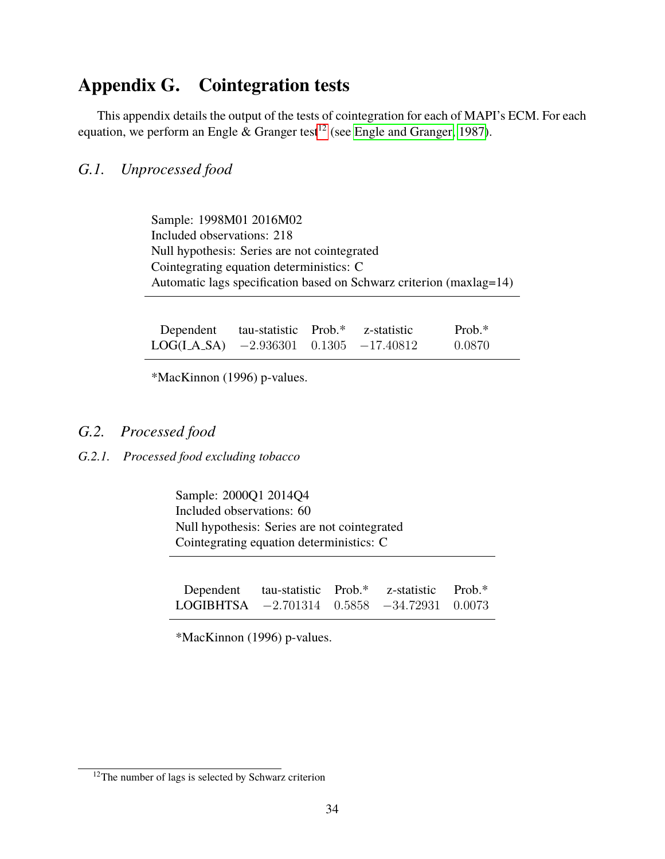## <span id="page-36-0"></span>**Appendix G. Cointegration tests**

This appendix details the output of the tests of cointegration for each of MAPI's ECM. For each equation, we perform an Engle & Granger test<sup>[12](#page-3-0)</sup> (see [Engle and Granger, 1987\)](#page-27-11).

### *G.1. Unprocessed food*

Sample: 1998M01 2016M02 Included observations: 218 Null hypothesis: Series are not cointegrated Cointegrating equation deterministics: C Automatic lags specification based on Schwarz criterion (maxlag=14)

| Dependent                                     | tau-statistic Prob.* | z-statistic | Prob. $*$ |
|-----------------------------------------------|----------------------|-------------|-----------|
| $LOG(LA_SA)$ $-2.936301$ $0.1305$ $-17.40812$ |                      |             | 0.0870    |

\*MacKinnon (1996) p-values.

### *G.2. Processed food*

#### *G.2.1. Processed food excluding tobacco*

Sample: 2000Q1 2014Q4 Included observations: 60 Null hypothesis: Series are not cointegrated Cointegrating equation deterministics: C

| Dependent        | tau-statistic Prob.* | z-statistic Prob.*                        |  |
|------------------|----------------------|-------------------------------------------|--|
| <b>LOGIBHTSA</b> |                      | $-2.701314$ $0.5858$ $-34.72931$ $0.0073$ |  |

\*MacKinnon (1996) p-values.

<sup>&</sup>lt;sup>12</sup>The number of lags is selected by Schwarz criterion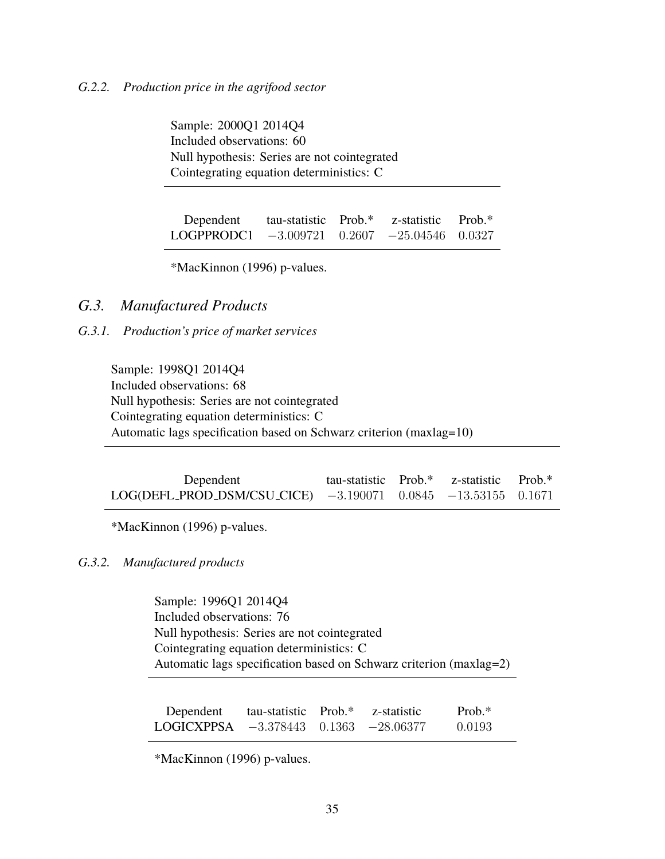Sample: 2000Q1 2014Q4 Included observations: 60 Null hypothesis: Series are not cointegrated Cointegrating equation deterministics: C

| Dependent                                        | tau-statistic Prob.* | z-statistic Prob.* |  |
|--------------------------------------------------|----------------------|--------------------|--|
| LOGPPRODC1 $-3.009721$ 0.2607 $-25.04546$ 0.0327 |                      |                    |  |

\*MacKinnon (1996) p-values.

### *G.3. Manufactured Products*

#### *G.3.1. Production's price of market services*

Sample: 1998Q1 2014Q4 Included observations: 68 Null hypothesis: Series are not cointegrated Cointegrating equation deterministics: C Automatic lags specification based on Schwarz criterion (maxlag=10)

Dependent tau-statistic Prob.\* z-statistic Prob.\* LOG(DEFL PROD DSM/CSU CICE) −3.190071 0.0845 −13.53155 0.1671

\*MacKinnon (1996) p-values.

#### *G.3.2. Manufactured products*

Sample: 1996Q1 2014Q4 Included observations: 76 Null hypothesis: Series are not cointegrated Cointegrating equation deterministics: C Automatic lags specification based on Schwarz criterion (maxlag=2)

Dependent tau-statistic Prob.\* z-statistic Prob.\* LOGICXPPSA −3.378443 0.1363 −28.06377 0.0193

\*MacKinnon (1996) p-values.